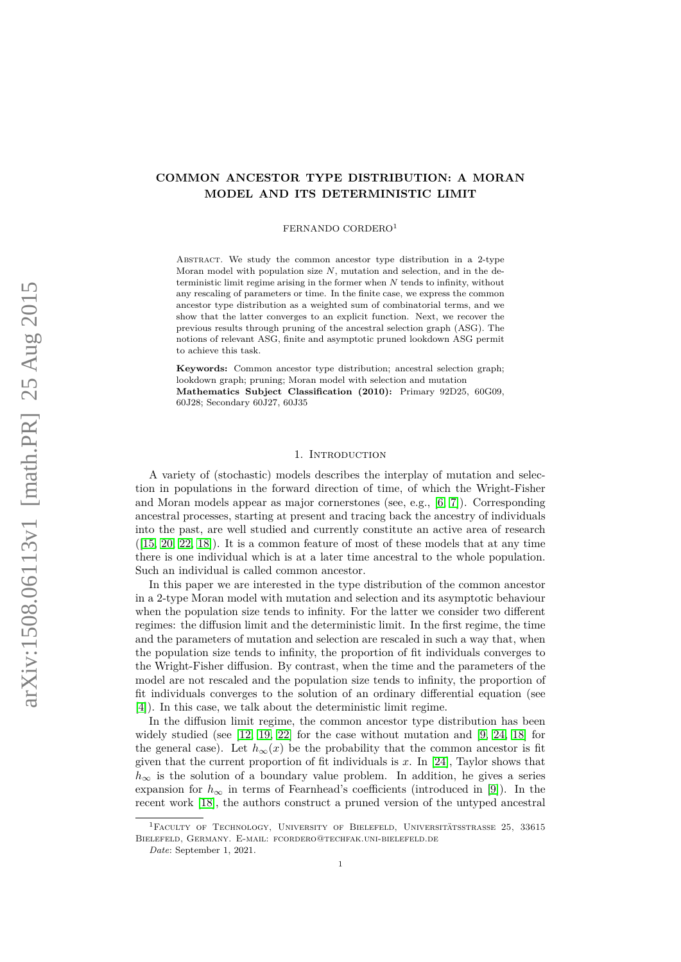# **COMMON ANCESTOR TYPE DISTRIBUTION: A MORAN MODEL AND ITS DETERMINISTIC LIMIT**

#### FERNANDO CORDERO<sup>1</sup>

ABSTRACT. We study the common ancestor type distribution in a 2-type Moran model with population size *N*, mutation and selection, and in the deterministic limit regime arising in the former when *N* tends to infinity, without any rescaling of parameters or time. In the finite case, we express the common ancestor type distribution as a weighted sum of combinatorial terms, and we show that the latter converges to an explicit function. Next, we recover the previous results through pruning of the ancestral selection graph (ASG). The notions of relevant ASG, finite and asymptotic pruned lookdown ASG permit to achieve this task.

**Keywords:** Common ancestor type distribution; ancestral selection graph; lookdown graph; pruning; Moran model with selection and mutation **Mathematics Subject Classification (2010):** Primary 92D25, 60G09, 60J28; Secondary 60J27, 60J35

### 1. INTRODUCTION

A variety of (stochastic) models describes the interplay of mutation and selection in populations in the forward direction of time, of which the Wright-Fisher and Moran models appear as major cornerstones (see, e.g., [\[6,](#page-28-0) [7\]](#page-29-0)). Corresponding ancestral processes, starting at present and tracing back the ancestry of individuals into the past, are well studied and currently constitute an active area of research  $([15, 20, 22, 18])$  $([15, 20, 22, 18])$  $([15, 20, 22, 18])$  $([15, 20, 22, 18])$  $([15, 20, 22, 18])$  $([15, 20, 22, 18])$ . It is a common feature of most of these models that at any time there is one individual which is at a later time ancestral to the whole population. Such an individual is called common ancestor.

In this paper we are interested in the type distribution of the common ancestor in a 2-type Moran model with mutation and selection and its asymptotic behaviour when the population size tends to infinity. For the latter we consider two different regimes: the diffusion limit and the deterministic limit. In the first regime, the time and the parameters of mutation and selection are rescaled in such a way that, when the population size tends to infinity, the proportion of fit individuals converges to the Wright-Fisher diffusion. By contrast, when the time and the parameters of the model are not rescaled and the population size tends to infinity, the proportion of fit individuals converges to the solution of an ordinary differential equation (see [\[4\]](#page-28-1)). In this case, we talk about the deterministic limit regime.

In the diffusion limit regime, the common ancestor type distribution has been widely studied (see  $[12, 19, 22]$  $[12, 19, 22]$  $[12, 19, 22]$  for the case without mutation and  $[9, 24, 18]$  $[9, 24, 18]$  $[9, 24, 18]$  for the general case). Let  $h_{\infty}(x)$  be the probability that the common ancestor is fit given that the current proportion of fit individuals is  $x$ . In [\[24\]](#page-29-8), Taylor shows that  $h_{\infty}$  is the solution of a boundary value problem. In addition, he gives a series expansion for  $h_{\infty}$  in terms of Fearnhead's coefficients (introduced in [\[9\]](#page-29-7)). In the recent work [\[18\]](#page-29-4), the authors construct a pruned version of the untyped ancestral

 ${}^{1}$ Faculty of Technology, University of Bielefeld, Universitätsstrasse 25, 33615 Bielefeld, Germany. E-mail: fcordero@techfak.uni-bielefeld.de

*Date*: September 1, 2021.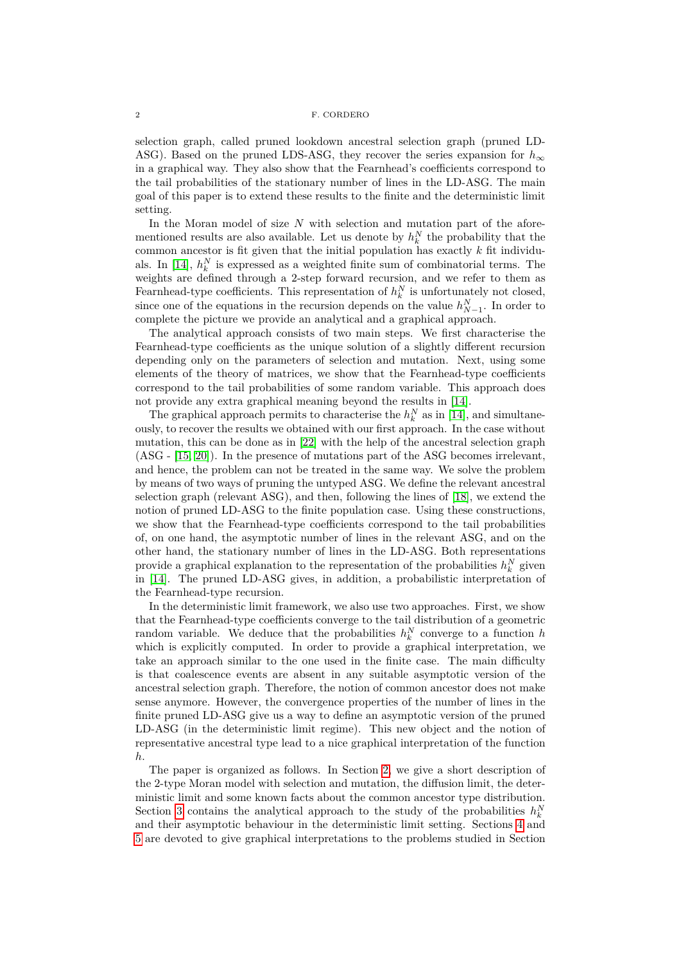selection graph, called pruned lookdown ancestral selection graph (pruned LD-ASG). Based on the pruned LDS-ASG, they recover the series expansion for  $h_{\infty}$ in a graphical way. They also show that the Fearnhead's coefficients correspond to the tail probabilities of the stationary number of lines in the LD-ASG. The main goal of this paper is to extend these results to the finite and the deterministic limit setting.

In the Moran model of size *N* with selection and mutation part of the aforementioned results are also available. Let us denote by  $h_k^N$  the probability that the common ancestor is fit given that the initial population has exactly *k* fit individu-als. In [\[14\]](#page-29-9),  $h_k^N$  is expressed as a weighted finite sum of combinatorial terms. The weights are defined through a 2-step forward recursion, and we refer to them as Fearnhead-type coefficients. This representation of  $h_k^N$  is unfortunately not closed, since one of the equations in the recursion depends on the value  $h_{N-1}^N$ . In order to complete the picture we provide an analytical and a graphical approach.

The analytical approach consists of two main steps. We first characterise the Fearnhead-type coefficients as the unique solution of a slightly different recursion depending only on the parameters of selection and mutation. Next, using some elements of the theory of matrices, we show that the Fearnhead-type coefficients correspond to the tail probabilities of some random variable. This approach does not provide any extra graphical meaning beyond the results in [\[14\]](#page-29-9).

The graphical approach permits to characterise the  $h_k^N$  as in [\[14\]](#page-29-9), and simultaneously, to recover the results we obtained with our first approach. In the case without mutation, this can be done as in [\[22\]](#page-29-3) with the help of the ancestral selection graph (ASG - [\[15,](#page-29-1) [20\]](#page-29-2)). In the presence of mutations part of the ASG becomes irrelevant, and hence, the problem can not be treated in the same way. We solve the problem by means of two ways of pruning the untyped ASG. We define the relevant ancestral selection graph (relevant ASG), and then, following the lines of [\[18\]](#page-29-4), we extend the notion of pruned LD-ASG to the finite population case. Using these constructions, we show that the Fearnhead-type coefficients correspond to the tail probabilities of, on one hand, the asymptotic number of lines in the relevant ASG, and on the other hand, the stationary number of lines in the LD-ASG. Both representations provide a graphical explanation to the representation of the probabilities  $h_k^N$  given in [\[14\]](#page-29-9). The pruned LD-ASG gives, in addition, a probabilistic interpretation of the Fearnhead-type recursion.

In the deterministic limit framework, we also use two approaches. First, we show that the Fearnhead-type coefficients converge to the tail distribution of a geometric random variable. We deduce that the probabilities  $h_k^N$  converge to a function  $h$ which is explicitly computed. In order to provide a graphical interpretation, we take an approach similar to the one used in the finite case. The main difficulty is that coalescence events are absent in any suitable asymptotic version of the ancestral selection graph. Therefore, the notion of common ancestor does not make sense anymore. However, the convergence properties of the number of lines in the finite pruned LD-ASG give us a way to define an asymptotic version of the pruned LD-ASG (in the deterministic limit regime). This new object and the notion of representative ancestral type lead to a nice graphical interpretation of the function *h*.

The paper is organized as follows. In Section [2,](#page-2-0) we give a short description of the 2-type Moran model with selection and mutation, the diffusion limit, the deterministic limit and some known facts about the common ancestor type distribution. Section [3](#page-5-0) contains the analytical approach to the study of the probabilities  $h_k^N$ and their asymptotic behaviour in the deterministic limit setting. Sections [4](#page-12-0) and [5](#page-23-0) are devoted to give graphical interpretations to the problems studied in Section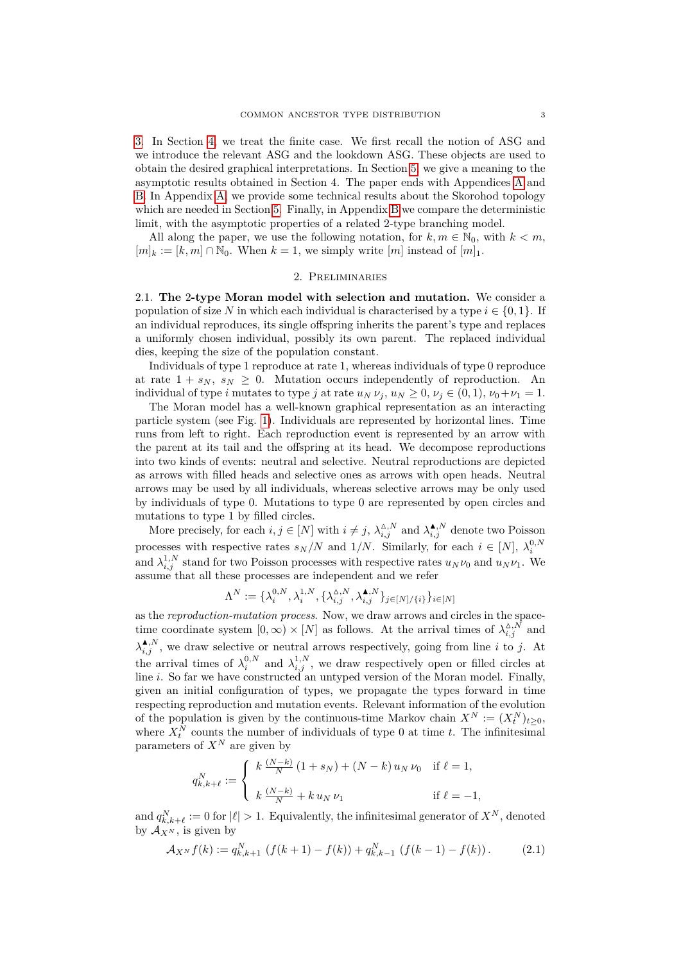[3.](#page-5-0) In Section [4,](#page-12-0) we treat the finite case. We first recall the notion of ASG and we introduce the relevant ASG and the lookdown ASG. These objects are used to obtain the desired graphical interpretations. In Section [5,](#page-23-0) we give a meaning to the asymptotic results obtained in Section 4. The paper ends with Appendices [A](#page-26-0) and [B.](#page-27-0) In Appendix [A,](#page-26-0) we provide some technical results about the Skorohod topology which are needed in Section [5.](#page-23-0) Finally, in Appendix [B](#page-27-0) we compare the deterministic limit, with the asymptotic properties of a related 2-type branching model.

All along the paper, we use the following notation, for  $k, m \in \mathbb{N}_0$ , with  $k < m$ ,  $[m]_k := [k, m] \cap \mathbb{N}_0$ . When  $k = 1$ , we simply write  $[m]$  instead of  $[m]_1$ .

### 2. Preliminaries

<span id="page-2-2"></span><span id="page-2-0"></span>2.1. **The** 2**-type Moran model with selection and mutation.** We consider a population of size N in which each individual is characterised by a type  $i \in \{0, 1\}$ . If an individual reproduces, its single offspring inherits the parent's type and replaces a uniformly chosen individual, possibly its own parent. The replaced individual dies, keeping the size of the population constant.

Individuals of type 1 reproduce at rate 1, whereas individuals of type 0 reproduce at rate  $1 + s_N$ ,  $s_N \geq 0$ . Mutation occurs independently of reproduction. An individual of type *i* mutates to type *j* at rate  $u_N \nu_j$ ,  $u_N \geq 0$ ,  $\nu_j \in (0,1)$ ,  $\nu_0 + \nu_1 = 1$ .

The Moran model has a well-known graphical representation as an interacting particle system (see Fig. [1\)](#page-3-0). Individuals are represented by horizontal lines. Time runs from left to right. Each reproduction event is represented by an arrow with the parent at its tail and the offspring at its head. We decompose reproductions into two kinds of events: neutral and selective. Neutral reproductions are depicted as arrows with filled heads and selective ones as arrows with open heads. Neutral arrows may be used by all individuals, whereas selective arrows may be only used by individuals of type 0. Mutations to type 0 are represented by open circles and mutations to type 1 by filled circles.

More precisely, for each  $i, j \in [N]$  with  $i \neq j$ ,  $\lambda_{i,j}^{\Delta,N}$  and  $\lambda_{i,j}^{\blacktriangle,N}$  denote two Poisson processes with respective rates  $s_N/N$  and  $1/N$ . Similarly, for each  $i \in [N]$ ,  $\lambda_i^{0,N}$ and  $\lambda_{i,j}^{1,N}$  stand for two Poisson processes with respective rates  $u_N \nu_0$  and  $u_N \nu_1$ . We assume that all these processes are independent and we refer

$$
\Lambda^N:=\{\lambda_i^{0,N},\lambda_i^{1,N},\{\lambda_{i,j}^{\Delta,N},\lambda_{i,j}^{\blacktriangle,N}\}_{j\in[N]/\{i\}}\}_{i\in[N]}
$$

as the *reproduction-mutation process*. Now, we draw arrows and circles in the spacetime coordinate system  $[0, \infty) \times [N]$  as follows. At the arrival times of  $\lambda_{i,j}^{\Delta, N}$  and  $\lambda_{i,j}^{\spadesuit,N}$ , we draw selective or neutral arrows respectively, going from line *i* to *j*. At the arrival times of  $\lambda_i^{0,N}$  and  $\lambda_{i,j}^{1,N}$ , we draw respectively open or filled circles at line *i*. So far we have constructed an untyped version of the Moran model. Finally, given an initial configuration of types, we propagate the types forward in time respecting reproduction and mutation events. Relevant information of the evolution of the population is given by the continuous-time Markov chain  $X^N := (X_t^N)_{t \geq 0}$ , where  $X_t^N$  counts the number of individuals of type 0 at time *t*. The infinitesimal parameters of  $X^N$  are given by

$$
q_{k,k+\ell}^N:=\left\{\begin{array}{ll} k\,\frac{(N-k)}{N}\,(1+s_N)+(N-k)\,u_N\,\nu_0 & \text{if }\ell=1,\\ \\ k\,\frac{(N-k)}{N}+k\,u_N\,\nu_1 & \text{if }\ell=-1,\end{array}\right.
$$

and  $q_{k,k+\ell}^N := 0$  for  $|\ell| > 1$ . Equivalently, the infinitesimal generator of  $X^N$ , denoted by  $\mathcal{A}_{X^N}$ , is given by

<span id="page-2-1"></span>
$$
\mathcal{A}_{X^N} f(k) := q_{k,k+1}^N \left( f(k+1) - f(k) \right) + q_{k,k-1}^N \left( f(k-1) - f(k) \right). \tag{2.1}
$$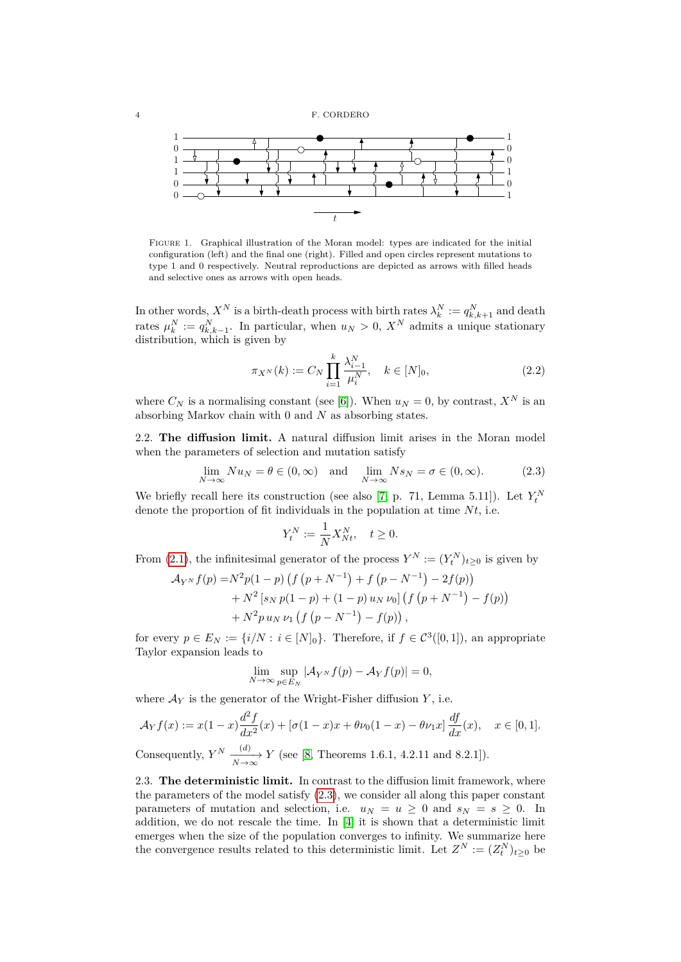<span id="page-3-0"></span>

Figure 1. Graphical illustration of the Moran model: types are indicated for the initial configuration (left) and the final one (right). Filled and open circles represent mutations to type 1 and 0 respectively. Neutral reproductions are depicted as arrows with filled heads and selective ones as arrows with open heads.

In other words,  $X^N$  is a birth-death process with birth rates  $\lambda_k^N := q_{k,k+1}^N$  and death rates  $\mu_k^N := q_{k,k-1}^N$ . In particular, when  $u_N > 0$ ,  $X^N$  admits a unique stationary distribution, which is given by

<span id="page-3-2"></span>
$$
\pi_{X^N}(k) := C_N \prod_{i=1}^k \frac{\lambda_{i-1}^N}{\mu_i^N}, \quad k \in [N]_0,
$$
\n(2.2)

where  $C_N$  is a normalising constant (see [\[6\]](#page-28-0)). When  $u_N = 0$ , by contrast,  $X^N$  is an absorbing Markov chain with 0 and *N* as absorbing states.

2.2. **The diffusion limit.** A natural diffusion limit arises in the Moran model when the parameters of selection and mutation satisfy

<span id="page-3-1"></span>
$$
\lim_{N \to \infty} Nu_N = \theta \in (0, \infty) \quad \text{and} \quad \lim_{N \to \infty} N s_N = \sigma \in (0, \infty). \tag{2.3}
$$

We briefly recall here its construction (see also [\[7,](#page-29-0) p. 71, Lemma 5.11]). Let  $Y_t^N$ denote the proportion of fit individuals in the population at time  $N_t$ , i.e.

$$
Y_t^N := \frac{1}{N} X_{Nt}^N, \quad t \ge 0.
$$

From [\(2.1\)](#page-2-1), the infinitesimal generator of the process  $Y^N := (Y_t^N)_{t \geq 0}$  is given by

$$
\mathcal{A}_{Y^{N}}f(p) = N^{2}p(1-p)\left(f(p+N^{-1})+f(p-N^{-1})-2f(p)\right) + N^{2}\left[s_{N}p(1-p)+(1-p)u_{N}\nu_{0}\right]\left(f(p+N^{-1})-f(p)\right) + N^{2}pu_{N}\nu_{1}\left(f(p-N^{-1})-f(p)\right),
$$

for every  $p \in E_N := \{i/N : i \in [N]_0\}$ . Therefore, if  $f \in C^3([0,1])$ , an appropriate Taylor expansion leads to

$$
\lim_{N \to \infty} \sup_{p \in E_N} |\mathcal{A}_{Y^N} f(p) - \mathcal{A}_Y f(p)| = 0,
$$

where  $A_Y$  is the generator of the Wright-Fisher diffusion  $Y$ , i.e.

$$
\mathcal{A}_Y f(x) := x(1-x) \frac{d^2 f}{dx^2}(x) + [\sigma(1-x)x + \theta \nu_0(1-x) - \theta \nu_1 x] \frac{df}{dx}(x), \quad x \in [0,1].
$$

Consequently,  $Y^N \xrightarrow[N \to \infty]{(d)} Y$  (see [\[8,](#page-29-10) Theorems 1.6.1, 4.2.11 and 8.2.1]).

2.3. **The deterministic limit.** In contrast to the diffusion limit framework, where the parameters of the model satisfy  $(2.3)$ , we consider all along this paper constant parameters of mutation and selection, i.e.  $u_N = u \geq 0$  and  $s_N = s \geq 0$ . In addition, we do not rescale the time. In [\[4\]](#page-28-1) it is shown that a deterministic limit emerges when the size of the population converges to infinity. We summarize here the convergence results related to this deterministic limit. Let  $Z^N := (Z_t^N)_{t \geq 0}$  be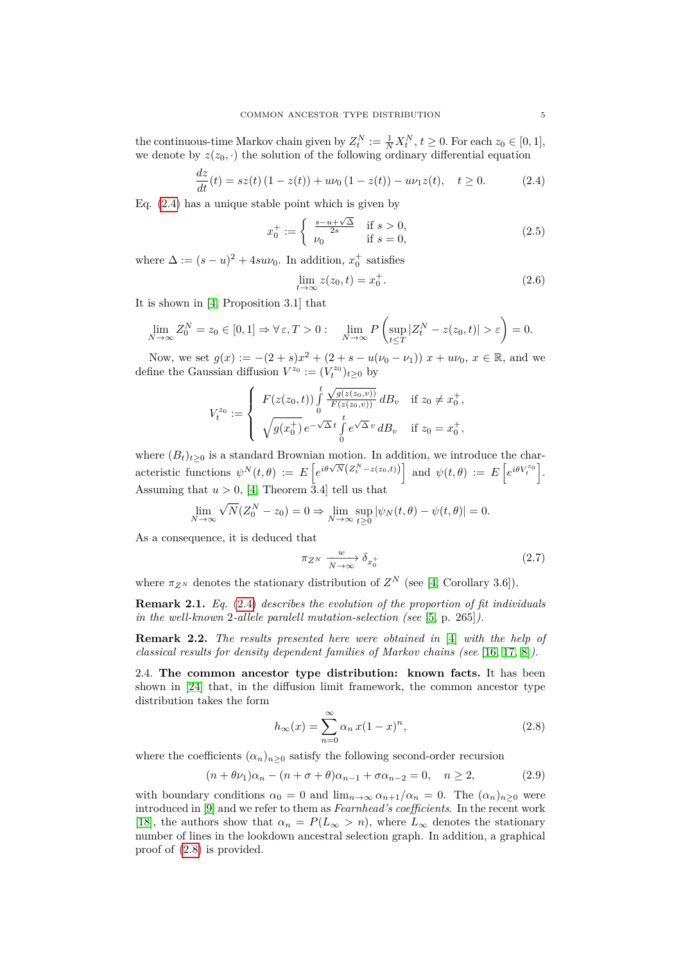the continuous-time Markov chain given by  $Z_t^N := \frac{1}{N} X_t^N$ ,  $t \ge 0$ . For each  $z_0 \in [0, 1]$ , we denote by  $z(z_0, \cdot)$  the solution of the following ordinary differential equation

<span id="page-4-0"></span>
$$
\frac{dz}{dt}(t) = sz(t) (1 - z(t)) + u\nu_0 (1 - z(t)) - u\nu_1 z(t), \quad t \ge 0.
$$
 (2.4)

Eq. [\(2.4\)](#page-4-0) has a unique stable point which is given by

<span id="page-4-3"></span>
$$
x_0^+ := \begin{cases} \frac{s - u + \sqrt{\Delta}}{2s} & \text{if } s > 0, \\ \nu_0 & \text{if } s = 0, \end{cases}
$$
 (2.5)

where  $\Delta := (s - u)^2 + 4suv_0$ . In addition,  $x_0^+$  satisfies

<span id="page-4-5"></span>
$$
\lim_{t \to \infty} z(z_0, t) = x_0^+.
$$
\n(2.6)

It is shown in [\[4,](#page-28-1) Proposition 3.1] that

$$
\lim_{N \to \infty} Z_0^N = z_0 \in [0, 1] \Rightarrow \forall \varepsilon, T > 0: \quad \lim_{N \to \infty} P\left(\sup_{t \le T} |Z_t^N - z(z_0, t)| > \varepsilon\right) = 0.
$$

Now, we set  $g(x) := -(2 + s)x^2 + (2 + s - u(v_0 - v_1)) x + uv_0, x \in \mathbb{R}$ , and we define the Gaussian diffusion  $V^{z_0} := (V_t^{z_0})_{t \geq 0}$  by

$$
V_t^{z_0} := \begin{cases} F(z(z_0, t)) \int_0^t \frac{\sqrt{g(z(z_0, v))}}{F(z(z_0, v))} dB_v & \text{if } z_0 \neq x_0^+, \\ \sqrt{g(x_0^+)} e^{-\sqrt{\Delta} t} \int_0^t e^{\sqrt{\Delta} v} dB_v & \text{if } z_0 = x_0^+, \end{cases}
$$

where  $(B_t)_{t\geq0}$  is a standard Brownian motion. In addition, we introduce the char- $\text{factor}(\Sigma_t)_{t\geq 0}$  is a scalar exponential motion. In addition, we introduce the case of  $\mathbb{E}[\mathbf{z}^{i\theta} \setminus \mathbb{E}(\mathbf{z}^{N-1}|\mathbf{z}^{i\theta})]$  and  $\psi(t,\theta) := E\left[e^{i\theta V_t^{i\theta}}\right]$ . Assuming that  $u > 0$ , [\[4,](#page-28-1) Theorem 3.4] tell us that

$$
\lim_{N \to \infty} \sqrt{N}(Z_0^N - z_0) = 0 \Rightarrow \lim_{N \to \infty} \sup_{t \ge 0} |\psi_N(t, \theta) - \psi(t, \theta)| = 0.
$$

As a consequence, it is deduced that

<span id="page-4-4"></span>
$$
\pi_{Z^N} \xrightarrow[N \to \infty]{w} \delta_{x_0^+} \tag{2.7}
$$

where  $\pi_{Z^N}$  denotes the stationary distribution of  $Z^N$  (see [\[4,](#page-28-1) Corollary 3.6]).

**Remark 2.1.** *Eq.* [\(2.4\)](#page-4-0) *describes the evolution of the proportion of fit individuals in the well-known* 2*-allele paralell mutation-selection (see* [\[5,](#page-28-2) p. 265]*).*

**Remark 2.2.** *The results presented here were obtained in* [\[4\]](#page-28-1) *with the help of classical results for density dependent families of Markov chains (see* [\[16,](#page-29-11) [17,](#page-29-12) [8\]](#page-29-10)*).*

<span id="page-4-2"></span>2.4. **The common ancestor type distribution: known facts.** It has been shown in [\[24\]](#page-29-8) that, in the diffusion limit framework, the common ancestor type distribution takes the form

<span id="page-4-1"></span>
$$
h_{\infty}(x) = \sum_{n=0}^{\infty} \alpha_n x (1-x)^n,
$$
\n(2.8)

where the coefficients  $(\alpha_n)_{n>0}$  satisfy the following second-order recursion

$$
(n + \theta \nu_1)\alpha_n - (n + \sigma + \theta)\alpha_{n-1} + \sigma \alpha_{n-2} = 0, \quad n \ge 2,
$$
\n(2.9)

with boundary conditions  $\alpha_0 = 0$  and  $\lim_{n\to\infty} \alpha_{n+1}/\alpha_n = 0$ . The  $(\alpha_n)_{n>0}$  were introduced in [\[9\]](#page-29-7) and we refer to them as *Fearnhead's coefficients*. In the recent work [\[18\]](#page-29-4), the authors show that  $\alpha_n = P(L_\infty > n)$ , where  $L_\infty$  denotes the stationary number of lines in the lookdown ancestral selection graph. In addition, a graphical proof of [\(2.8\)](#page-4-1) is provided.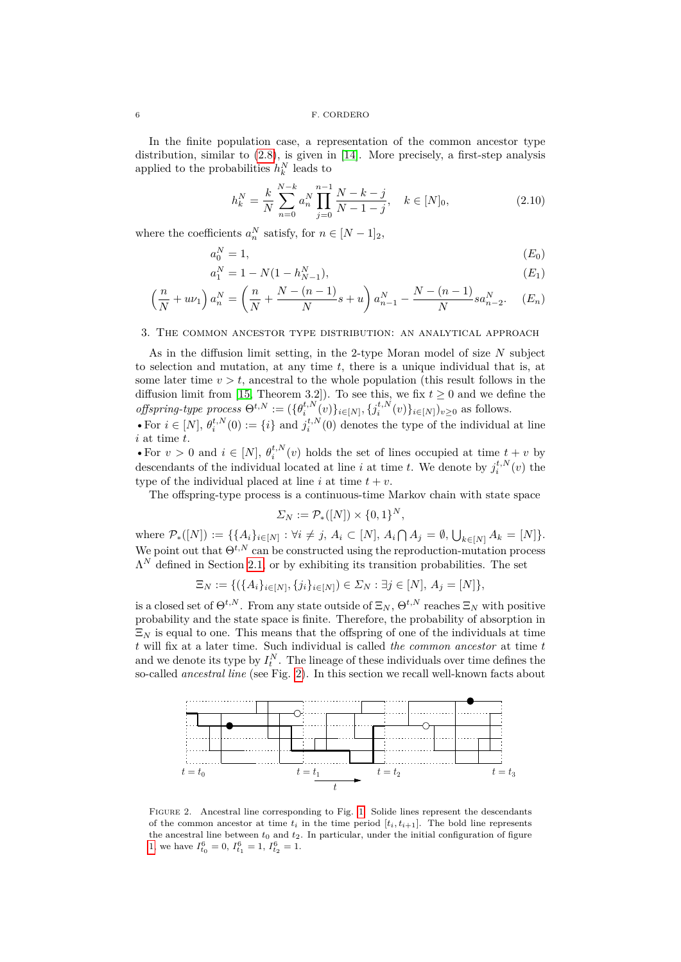In the finite population case, a representation of the common ancestor type distribution, similar to [\(2.8\)](#page-4-1), is given in [\[14\]](#page-29-9). More precisely, a first-step analysis applied to the probabilities  $h_k^N$  leads to

<span id="page-5-5"></span><span id="page-5-4"></span><span id="page-5-3"></span><span id="page-5-2"></span>
$$
h_k^N = \frac{k}{N} \sum_{n=0}^{N-k} a_n^N \prod_{j=0}^{n-1} \frac{N-k-j}{N-1-j}, \quad k \in [N]_0,
$$
\n(2.10)

where the coefficients  $a_n^N$  satisfy, for  $n \in [N-1]_2$ ,

$$
a_0^N = 1,\t\t (E_0)
$$

$$
a_1^N = 1 - N(1 - h_{N-1}^N), \tag{E_1}
$$

$$
\left(\frac{n}{N} + u\nu_1\right)a_n^N = \left(\frac{n}{N} + \frac{N - (n-1)}{N}s + u\right)a_{n-1}^N - \frac{N - (n-1)}{N}sa_{n-2}^N.
$$
 (E<sub>n</sub>)

### <span id="page-5-0"></span>3. The common ancestor type distribution: an analytical approach

As in the diffusion limit setting, in the 2-type Moran model of size *N* subject to selection and mutation, at any time *t*, there is a unique individual that is, at some later time  $v > t$ , ancestral to the whole population (this result follows in the diffusion limit from [\[15,](#page-29-1) Theorem 3.2]). To see this, we fix  $t \geq 0$  and we define the *offspring-type process*  $\Theta^{t,N} := (\{\theta_i^{t,N}(v)\}_{i \in [N]}, \{j_i^{t,N}(v)\}_{i \in [N]})_{v \ge 0}$  as follows. • For  $i \in [N]$ ,  $\theta_i^{t,N}(0) := \{i\}$  and  $j_i^{t,N}(0)$  denotes the type of the individual at line

*i* at time *t*.

• For  $v > 0$  and  $i \in [N]$ ,  $\theta_i^{t,N}(v)$  holds the set of lines occupied at time  $t + v$  by descendants of the individual located at line *i* at time *t*. We denote by  $j_i^{t,N}(v)$  the type of the individual placed at line  $i$  at time  $t + v$ .

The offspring-type process is a continuous-time Markov chain with state space

$$
\Sigma_N := \mathcal{P}_*([N]) \times \{0,1\}^N,
$$

 $\text{where } \mathcal{P}_*([N]) := \{ \{A_i\}_{i \in [N]} : \forall i \neq j, A_i \subset [N], A_i \cap A_j = \emptyset, \bigcup_{k \in [N]} A_k = [N] \}.$ We point out that  $\Theta^{t,N}$  can be constructed using the reproduction-mutation process  $\Lambda^N$  defined in Section [2.1,](#page-2-2) or by exhibiting its transition probabilities. The set

$$
\Xi_N := \{ (\{A_i\}_{i \in [N]}, \{j_i\}_{i \in [N]}) \in \Sigma_N : \exists j \in [N], A_j = [N] \},\
$$

is a closed set of  $\Theta^{t,N}$ . From any state outside of  $\Xi_N$ ,  $\Theta^{t,N}$  reaches  $\Xi_N$  with positive probability and the state space is finite. Therefore, the probability of absorption in  $\Xi_N$  is equal to one. This means that the offspring of one of the individuals at time *t* will fix at a later time. Such individual is called *the common ancestor* at time *t* and we denote its type by  $I_t^N$ . The lineage of these individuals over time defines the so-called *ancestral line* (see Fig. [2\)](#page-5-1). In this section we recall well-known facts about

<span id="page-5-1"></span>

Figure 2. Ancestral line corresponding to Fig. [1.](#page-3-0) Solide lines represent the descendants of the common ancestor at time  $t_i$  in the time period  $[t_i, t_{i+1}]$ . The bold line represents the ancestral line between  $t_0$  and  $t_2$ . In particular, under the initial configuration of figure [1,](#page-3-0) we have  $I_{t_0}^6 = 0$ ,  $I_{t_1}^6 = 1$ ,  $I_{t_2}^6 = 1$ .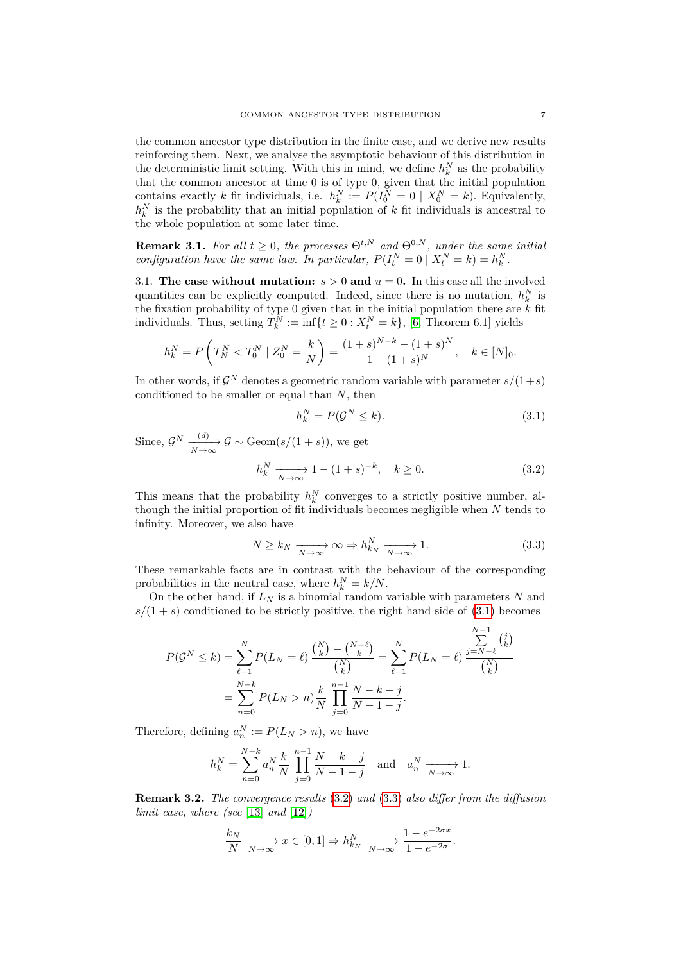the common ancestor type distribution in the finite case, and we derive new results reinforcing them. Next, we analyse the asymptotic behaviour of this distribution in the deterministic limit setting. With this in mind, we define  $h_k^N$  as the probability that the common ancestor at time 0 is of type 0, given that the initial population that the common ancestor at time 0 is of type 0, given that the initial population contains exactly *k* fit individuals, i.e.  $h_k^N := P(I_0^N = 0 \mid X_0^N = k)$ . Equivalently,  $h_k^N$  is the probability that an initial population of *k* fit individuals is ancestral to the whole population at some later time.

**Remark 3.1.** For all  $t \geq 0$ , the processes  $\Theta^{t,N}$  and  $\Theta^{0,N}$ , under the same initial *configuration have the same law. In particular,*  $P(I_t^N = 0 \mid X_t^N = k) = h_k^N$ .

<span id="page-6-3"></span>3.1. **The case without mutation:**  $s > 0$  and  $u = 0$ . In this case all the involved quantities can be explicitly computed. Indeed, since there is no mutation,  $h_k^N$  is the fixation probability of type 0 given that in the initial population there are *k* fit individuals. Thus, setting  $T_k^N := \inf\{t \geq 0 : X_t^N = k\}$ , [\[6,](#page-28-0) Theorem 6.1] yields

$$
h_k^N = P\left(T_N^N < T_0^N \mid Z_0^N = \frac{k}{N}\right) = \frac{(1+s)^{N-k} - (1+s)^N}{1 - (1+s)^N}, \quad k \in [N]_0.
$$

In other words, if  $\mathcal{G}^N$  denotes a geometric random variable with parameter  $s/(1+s)$ conditioned to be smaller or equal than *N*, then

<span id="page-6-1"></span><span id="page-6-0"></span>
$$
h_k^N = P(\mathcal{G}^N \le k). \tag{3.1}
$$

Since,  $\mathcal{G}^N \xrightarrow[N \to \infty]{(d)} \mathcal{G} \sim \text{Geom}(s/(1+s)),$  we get  $h_k^N \xrightarrow[N \to \infty]{} 1 - (1 + s)^{-k}, \quad k \ge 0.$  (3.2)

This means that the probability  $h_k^N$  converges to a strictly positive number, although the initial proportion of fit individuals becomes negligible when *N* tends to infinity. Moreover, we also have

<span id="page-6-2"></span>
$$
N \ge k_N \xrightarrow[N \to \infty]{} \infty \Rightarrow h_{k_N}^N \xrightarrow[N \to \infty]{} 1. \tag{3.3}
$$

These remarkable facts are in contrast with the behaviour of the corresponding probabilities in the neutral case, where  $h_k^N = k/N$ .

On the other hand, if  $L_N$  is a binomial random variable with parameters  $N$  and  $s/(1 + s)$  conditioned to be strictly positive, the right hand side of  $(3.1)$  becomes

$$
P(\mathcal{G}^N \le k) = \sum_{\ell=1}^N P(L_N = \ell) \frac{\binom{N}{k} - \binom{N-\ell}{k}}{\binom{N}{k}} = \sum_{\ell=1}^N P(L_N = \ell) \frac{\sum_{j=N-\ell}^{N-1} \binom{j}{k}}{\binom{N}{k}}
$$

$$
= \sum_{n=0}^{N-k} P(L_N > n) \frac{k}{N} \prod_{j=0}^{n-1} \frac{N-k-j}{N-1-j}.
$$

Therefore, defining  $a_n^N := P(L_N > n)$ , we have

$$
h_k^N = \sum_{n=0}^{N-k} a_n^N \frac{k}{N} \prod_{j=0}^{n-1} \frac{N-k-j}{N-1-j} \text{ and } a_n^N \xrightarrow[N \to \infty]{} 1.
$$

**Remark 3.2.** *The convergence results* [\(3.2\)](#page-6-1) *and* [\(3.3\)](#page-6-2) *also differ from the diffusion limit case, where (see* [\[13\]](#page-29-13) *and* [\[12\]](#page-29-5)*)*

$$
\frac{k_N}{N} \xrightarrow[N \to \infty]{} x \in [0,1] \Rightarrow h_{k_N}^N \xrightarrow[N \to \infty]{} \frac{1 - e^{-2\sigma x}}{1 - e^{-2\sigma}}.
$$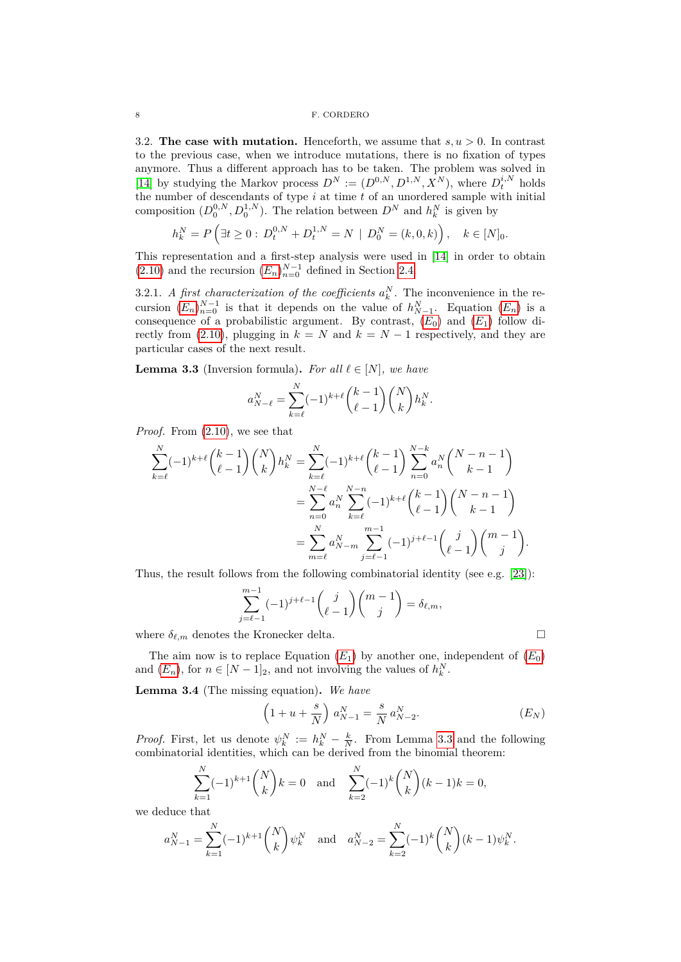3.2. **The case with mutation.** Henceforth, we assume that  $s, u > 0$ . In contrast to the previous case, when we introduce mutations, there is no fixation of types anymore. Thus a different approach has to be taken. The problem was solved in [\[14\]](#page-29-9) by studying the Markov process  $D^N := (D^{0,N}, D^{1,N}, X^N)$ , where  $D_t^{i,N}$  holds the number of descendants of type *i* at time *t* of an unordered sample with initial composition  $(D_0^{0,N}, D_0^{1,N})$ . The relation between  $D^N$  and  $h_k^N$  is given by

$$
h_k^N = P\left(\exists t \ge 0 : D_t^{0,N} + D_t^{1,N} = N \mid D_0^N = (k, 0, k)\right), \quad k \in [N]_0.
$$

This representation and a first-step analysis were used in [\[14\]](#page-29-9) in order to obtain  $(2.10)$  and the recursion  $(E_n)_{n=0}^{N-1}$  $(E_n)_{n=0}^{N-1}$  $(E_n)_{n=0}^{N-1}$  defined in Section [2.4.](#page-4-2)

3.2.1. *A first characterization of the coefficients*  $a_k^N$ . The inconvenience in the recursion  $(E_n)_{n=0}^{N-1}$  $(E_n)_{n=0}^{N-1}$  $(E_n)_{n=0}^{N-1}$  is that it depends on the value of  $h_{N-1}^N$ . Equation  $(E_n)$  is a consequence of a probabilistic argument. By contrast,  $(E_0)$  $(E_0)$  $(E_0)$  and  $(E_1)$  follow di-rectly from [\(2.10\)](#page-5-2), plugging in  $k = N$  and  $k = N - 1$  respectively, and they are particular cases of the next result.

<span id="page-7-0"></span>**Lemma 3.3** (Inversion formula). For all  $\ell \in [N]$ , we have

$$
a_{N-\ell}^N = \sum_{k=\ell}^N (-1)^{k+\ell} {k-1 \choose \ell-1} {N \choose k} h_k^N.
$$

*Proof.* From [\(2.10\)](#page-5-2), we see that

$$
\sum_{k=\ell}^{N}(-1)^{k+\ell}\binom{k-1}{\ell-1}\binom{N}{k}h_{k}^{N} = \sum_{k=\ell}^{N}(-1)^{k+\ell}\binom{k-1}{\ell-1}\sum_{n=0}^{N-k}a_{n}^{N}\binom{N-n-1}{k-1} \n= \sum_{n=0}^{N-\ell}a_{n}^{N}\sum_{k=\ell}^{N-n}(-1)^{k+\ell}\binom{k-1}{\ell-1}\binom{N-n-1}{k-1} \n= \sum_{m=\ell}^{N}a_{N-m}^{N}\sum_{j=\ell-1}^{m-1}(-1)^{j+\ell-1}\binom{j}{\ell-1}\binom{m-1}{j}.
$$

Thus, the result follows from the following combinatorial identity (see e.g. [\[23\]](#page-29-14)):

$$
\sum_{j=\ell-1}^{m-1} (-1)^{j+\ell-1} {j \choose \ell-1} {m-1 \choose j} = \delta_{\ell,m},
$$

where  $\delta_{\ell,m}$  denotes the Kronecker delta.

The aim now is to replace [E](#page-5-4)quation  $(E_1)$  by another one, independent of  $(E_0)$ and  $(E_n)$  $(E_n)$  $(E_n)$ , for  $n \in [N-1]_2$ , and not involving the values of  $h_k^N$ .

**Lemma 3.4** (The missing equation)**.** *We have*

<span id="page-7-2"></span><span id="page-7-1"></span>
$$
\left(1 + u + \frac{s}{N}\right) a_{N-1}^N = \frac{s}{N} a_{N-2}^N.
$$
 (E<sub>N</sub>)

*Proof.* First, let us denote  $\psi_k^N := h_k^N - \frac{k}{N}$ . From Lemma [3.3](#page-7-0) and the following combinatorial identities, which can be derived from the binomial theorem:

$$
\sum_{k=1}^{N}(-1)^{k+1}\binom{N}{k}k=0 \text{ and } \sum_{k=2}^{N}(-1)^{k}\binom{N}{k}(k-1)k=0,
$$

we deduce that

$$
a_{N-1}^N = \sum_{k=1}^N (-1)^{k+1} \binom{N}{k} \psi_k^N \quad \text{and} \quad a_{N-2}^N = \sum_{k=2}^N (-1)^k \binom{N}{k} (k-1) \psi_k^N.
$$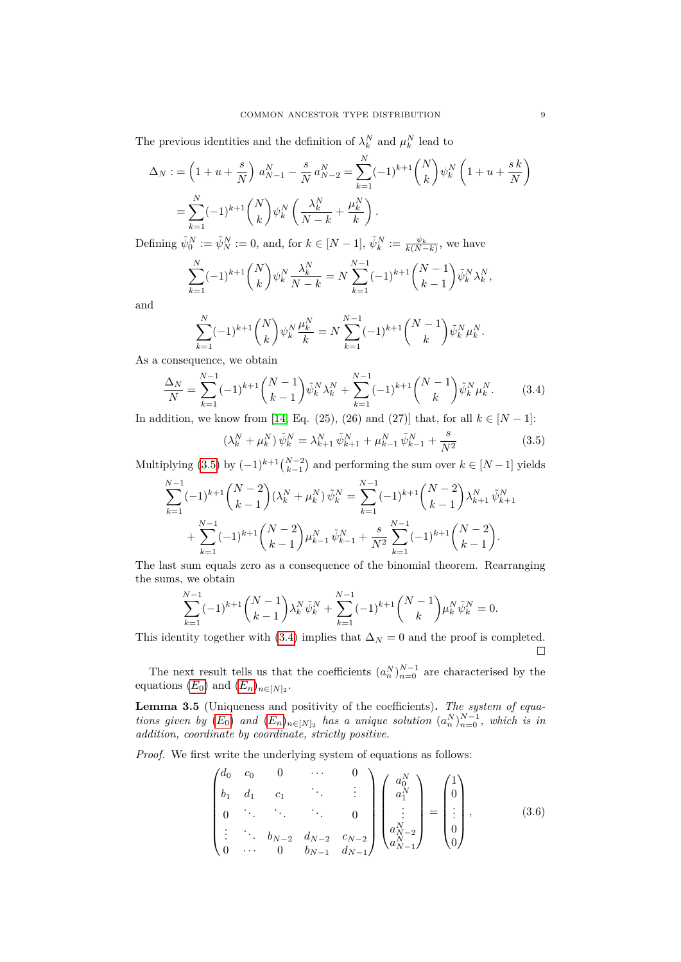The previous identities and the definition of  $\lambda_k^N$  and  $\mu_k^N$  lead to

$$
\Delta_N := \left(1 + u + \frac{s}{N}\right) a_{N-1}^N - \frac{s}{N} a_{N-2}^N = \sum_{k=1}^N (-1)^{k+1} {N \choose k} \psi_k^N \left(1 + u + \frac{s k}{N}\right)
$$
  
= 
$$
\sum_{k=1}^N (-1)^{k+1} {N \choose k} \psi_k^N \left(\frac{\lambda_k^N}{N-k} + \frac{\mu_k^N}{k}\right).
$$

Defining  $\tilde{\psi}_0^N := \tilde{\psi}_N^N := 0$ , and, for  $k \in [N-1]$ ,  $\tilde{\psi}_k^N := \frac{\psi_k}{k(N-k)}$ , we have

$$
\sum_{k=1}^{N}(-1)^{k+1} \binom{N}{k} \psi_k^N \frac{\lambda_k^N}{N-k} = N \sum_{k=1}^{N-1}(-1)^{k+1} \binom{N-1}{k-1} \tilde{\psi}_k^N \lambda_k^N,
$$

and

$$
\sum_{k=1}^{N}(-1)^{k+1} \binom{N}{k} \psi_k^N \frac{\mu_k^N}{k} = N \sum_{k=1}^{N-1}(-1)^{k+1} \binom{N-1}{k} \tilde{\psi}_k^N \mu_k^N.
$$

As a consequence, we obtain

$$
\frac{\Delta_N}{N} = \sum_{k=1}^{N-1} (-1)^{k+1} \binom{N-1}{k-1} \tilde{\psi}_k^N \lambda_k^N + \sum_{k=1}^{N-1} (-1)^{k+1} \binom{N-1}{k} \tilde{\psi}_k^N \mu_k^N. \tag{3.4}
$$

In addition, we know from [\[14,](#page-29-9) Eq. (25), (26) and (27)] that, for all  $k ∈ [N - 1]$ :

<span id="page-8-0"></span>
$$
\left(\lambda_k^N + \mu_k^N\right)\tilde{\psi}_k^N = \lambda_{k+1}^N \tilde{\psi}_{k+1}^N + \mu_{k-1}^N \tilde{\psi}_{k-1}^N + \frac{s}{N^2} \tag{3.5}
$$

Multiplying [\(3.5\)](#page-8-0) by  $(-1)^{k+1} {N-2 \choose k-1}$  and performing the sum over  $k \in [N-1]$  yields

$$
\sum_{k=1}^{N-1}(-1)^{k+1}\binom{N-2}{k-1}(\lambda_k^N+\mu_k^N)\tilde{\psi}_k^N = \sum_{k=1}^{N-1}(-1)^{k+1}\binom{N-2}{k-1}\lambda_{k+1}^N\tilde{\psi}_{k+1}^N + \sum_{k=1}^{N-1}(-1)^{k+1}\binom{N-2}{k-1}\mu_{k-1}^N\tilde{\psi}_{k-1}^N + \frac{s}{N^2}\sum_{k=1}^{N-1}(-1)^{k+1}\binom{N-2}{k-1}.
$$

The last sum equals zero as a consequence of the binomial theorem. Rearranging the sums, we obtain

$$
\sum_{k=1}^{N-1}(-1)^{k+1}\binom{N-1}{k-1}\lambda_k^N\tilde{\psi}_k^N+\sum_{k=1}^{N-1}(-1)^{k+1}\binom{N-1}{k}\mu_k^N\tilde{\psi}_k^N=0.
$$

This identity together with [\(3.4\)](#page-7-1) implies that  $\Delta_N = 0$  and the proof is completed.  $\Box$ 

The next result tells us that the coefficients  $(a_n^N)_{n=0}^{N-1}$  are characterised by the equations  $(E_0)$  $(E_0)$  $(E_0)$  and  $(E_n)_{n \in [N]_2}$ .

<span id="page-8-2"></span>**Lemma 3.5** (Uniqueness and positivity of the coefficients)**.** *The system of equations given by*  $(E_0)$  $(E_0)$  $(E_0)$  *and*  $(E_n)_{n \in [N]_2}$  *has a unique solution*  $(a_n^N)_{n=0}^{N-1}$ *, which is in addition, coordinate by coordinate, strictly positive.*

*Proof.* We first write the underlying system of equations as follows:

<span id="page-8-1"></span>
$$
\begin{pmatrix} d_0 & c_0 & 0 & \cdots & 0 \\ b_1 & d_1 & c_1 & & \vdots \\ 0 & \ddots & \ddots & \ddots & 0 \\ \vdots & \ddots & b_{N-2} & d_{N-2} & c_{N-2} \\ 0 & \cdots & 0 & b_{N-1} & d_{N-1} \end{pmatrix} \begin{pmatrix} a_0^N \\ a_1^N \\ \vdots \\ a_{N-2}^N \\ a_{N-1}^N \end{pmatrix} = \begin{pmatrix} 1 \\ 0 \\ \vdots \\ 0 \\ 0 \end{pmatrix},
$$
(3.6)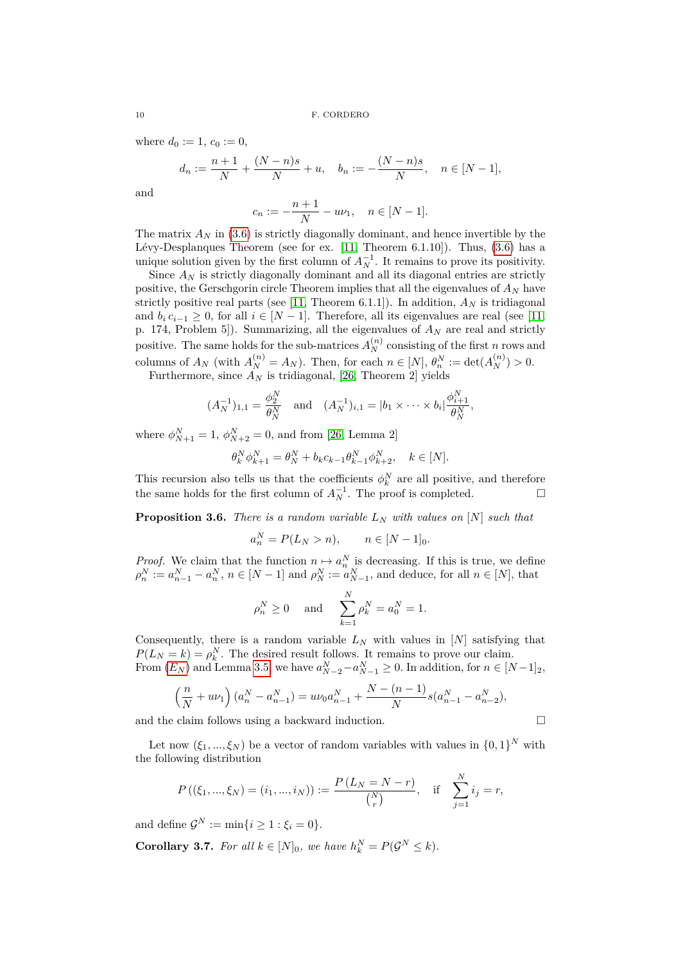where  $d_0 := 1, c_0 := 0$ ,

$$
d_n := \frac{n+1}{N} + \frac{(N-n)s}{N} + u, \quad b_n := -\frac{(N-n)s}{N}, \quad n \in [N-1],
$$

and

$$
c_n := -\frac{n+1}{N} - u\nu_1, \quad n \in [N-1].
$$

The matrix  $A_N$  in [\(3.6\)](#page-8-1) is strictly diagonally dominant, and hence invertible by the Lévy-Desplanques Theorem (see for ex. [\[11,](#page-29-15) Theorem 6.1.10]). Thus, [\(3.6\)](#page-8-1) has a unique solution given by the first column of  $A_N^{-1}$ . It remains to prove its positivity.

Since  $A_N$  is strictly diagonally dominant and all its diagonal entries are strictly positive, the Gerschgorin circle Theorem implies that all the eigenvalues of *A<sup>N</sup>* have strictly positive real parts (see [\[11,](#page-29-15) Theorem 6.1.1]). In addition,  $A_N$  is tridiagonal and  $b_i c_{i-1} \geq 0$ , for all  $i \in [N-1]$ . Therefore, all its eigenvalues are real (see [\[11,](#page-29-15) p. 174, Problem 5]). Summarizing, all the eigenvalues of *A<sup>N</sup>* are real and strictly positive. The same holds for the sub-matrices  $A_N^{(n)}$  consisting of the first *n* rows and columns of  $A_N$  (with  $A_N^{(n)} = A_N$ ). Then, for each  $n \in [N]$ ,  $\theta_n^N := \det(A_N^{(n)}) > 0$ .

Furthermore, since *A<sup>N</sup>* is tridiagonal, [\[26,](#page-29-16) Theorem 2] yields

$$
(A_N^{-1})_{1,1} = \frac{\phi_2^N}{\theta_N^N}
$$
 and  $(A_N^{-1})_{i,1} = |b_1 \times \cdots \times b_i| \frac{\phi_{i+1}^N}{\theta_N^N}$ 

where  $\phi_{N+1}^{N} = 1$ ,  $\phi_{N+2}^{N} = 0$ , and from [\[26,](#page-29-16) Lemma 2]

$$
\theta_k^N \phi_{k+1}^N = \theta_N^N + b_k c_{k-1} \theta_{k-1}^N \phi_{k+2}^N, \quad k \in [N].
$$

This recursion also tells us that the coefficients  $\phi_k^N$  are all positive, and therefore the same holds for the first column of  $A_N^{-1}$ . The proof is completed.

<span id="page-9-0"></span>**Proposition 3.6.** *There is a random variable L<sup>N</sup> with values on* [*N*] *such that*

$$
a_n^N = P(L_N > n), \qquad n \in [N-1]_0.
$$

*Proof.* We claim that the function  $n \mapsto a_n^N$  is decreasing. If this is true, we define  $\rho_n^N := a_{n-1}^N - a_n^N$ ,  $n \in [N-1]$  and  $\rho_N^N := a_{N-1}^N$ , and deduce, for all  $n \in [N]$ , that

$$
\rho_n^N \ge 0
$$
 and  $\sum_{k=1}^N \rho_k^N = a_0^N = 1$ .

Consequently, there is a random variable  $L_N$  with values in  $[N]$  satisfying that  $P(L_N = k) = \rho_k^N$ . The desired result follows. It remains to prove our claim. From  $(E_N)$  $(E_N)$  $(E_N)$  and Lemma [3.5,](#page-8-2) we have  $a_{N-2}^N - a_{N-1}^N \ge 0$ . In addition, for  $n \in [N-1]_2$ ,

$$
\left(\frac{n}{N} + u\nu_1\right)(a_n^N - a_{n-1}^N) = u\nu_0 a_{n-1}^N + \frac{N - (n-1)}{N} s(a_{n-1}^N - a_{n-2}^N),
$$

and the claim follows using a backward induction.  $\Box$ 

Let now  $(\xi_1, ..., \xi_N)$  be a vector of random variables with values in  $\{0, 1\}^N$  with the following distribution

$$
P((\xi_1, ..., \xi_N) = (i_1, ..., i_N)) := \frac{P(L_N = N - r)}{\binom{N}{r}}, \quad \text{if} \quad \sum_{j=1}^N i_j = r,
$$

and define  $\mathcal{G}^N := \min\{i \geq 1 : \xi_i = 0\}.$ 

**Corollary 3.7.** *For all*  $k \in [N]_0$ *, we have*  $h_k^N = P(\mathcal{G}^N \leq k)$ *.*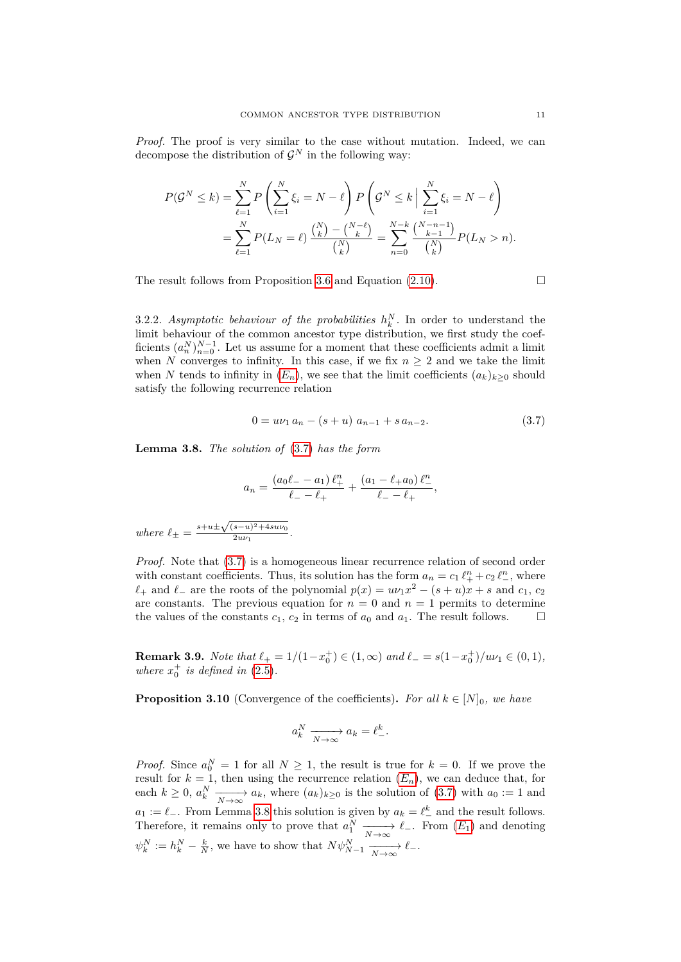*Proof.* The proof is very similar to the case without mutation. Indeed, we can decompose the distribution of  $\mathcal{G}^N$  in the following way:

$$
P(\mathcal{G}^N \le k) = \sum_{\ell=1}^N P\left(\sum_{i=1}^N \xi_i = N - \ell\right) P\left(\mathcal{G}^N \le k \Big| \sum_{i=1}^N \xi_i = N - \ell\right)
$$
  
= 
$$
\sum_{\ell=1}^N P(L_N = \ell) \frac{\binom{N}{k} - \binom{N-\ell}{k}}{\binom{N}{k}} = \sum_{n=0}^{N-k} \frac{\binom{N-n-1}{k-1}}{\binom{N}{k}} P(L_N > n).
$$

The result follows from Proposition [3.6](#page-9-0) and Equation [\(2.10\)](#page-5-2).  $\Box$ 

3.2.2. Asymptotic behaviour of the probabilities  $h_k^N$ . In order to understand the limit behaviour of the common ancestor type distribution, we first study the coefficients  $(a_n^N)_{n=0}^{N-1}$ . Let us assume for a moment that these coefficients admit a limit when *N* converges to infinity. In this case, if we fix  $n \geq 2$  and we take the limit when *N* tends to infinity in  $(E_n)$  $(E_n)$  $(E_n)$ , we see that the limit coefficients  $(a_k)_{k>0}$  should satisfy the following recurrence relation

<span id="page-10-0"></span>
$$
0 = u\nu_1 a_n - (s+u) a_{n-1} + s a_{n-2}.
$$
\n(3.7)

<span id="page-10-1"></span>**Lemma 3.8.** *The solution of* [\(3.7\)](#page-10-0) *has the form*

$$
a_n = \frac{(a_0 \ell_- - a_1) \ell_+^n}{\ell_- - \ell_+} + \frac{(a_1 - \ell_+ a_0) \ell_-^n}{\ell_- - \ell_+},
$$

 $where \ell_{\pm} = \frac{s + u \pm \sqrt{(s - u)^2 + 4s u \nu_0}}{2u \nu_1}$  $rac{2u\nu_1}{2u\nu_1}$ .

*Proof.* Note that  $(3.7)$  is a homogeneous linear recurrence relation of second order with constant coefficients. Thus, its solution has the form  $a_n = c_1 \ell_+^n + c_2 \ell_-^n$ , where  $\ell$ <sup>+</sup> and  $\ell$ <sup>−</sup> are the roots of the polynomial  $p(x) = u\nu_1 x^2 - (s + u)x + s$  and  $c_1, c_2$ are constants. The previous equation for  $n = 0$  and  $n = 1$  permits to determine the values of the constants  $c_1, c_2$  in terms of  $a_0$  and  $a_1$ . The result follows.

<span id="page-10-2"></span>**Remark 3.9.** *Note that*  $\ell_+ = 1/(1 - x_0^+) \in (1, \infty)$  *and*  $\ell_- = s(1 - x_0^+) / u\nu_1 \in (0, 1)$ *, where*  $x_0^+$  *is defined in* [\(2.5\)](#page-4-3)*.* 

<span id="page-10-3"></span>**Proposition 3.10** (Convergence of the coefficients). For all  $k \in [N]_0$ , we have

$$
a_k^N \xrightarrow[N \to \infty]{} a_k = \ell^k_-.
$$

*Proof.* Since  $a_0^N = 1$  for all  $N \geq 1$ , the result is true for  $k = 0$ . If we prove the result for  $k = 1$ , then using the recurrence relation  $(E_n)$  $(E_n)$  $(E_n)$ , we can deduce that, for each  $k \geq 0$ ,  $a_k^N \xrightarrow[N \to \infty]{} a_k$ , where  $(a_k)_{k \geq 0}$  is the solution of [\(3.7\)](#page-10-0) with  $a_0 := 1$  and *a*<sub>1</sub> :=  $\ell$ <sub>−</sub>. From Lemma [3.8](#page-10-1) this solution is given by  $a_k = \ell^k$  and the result follows. Therefore, it remains only to prove that  $a_1^N \xrightarrow[N \to \infty]{} \ell_-\dots$  From  $(E_1)$  $(E_1)$  $(E_1)$  and denoting  $\psi_k^N := h_k^N - \frac{k}{N}$ , we have to show that  $N \psi_{N-1}^N - \frac{k}{N \to \infty} \ell$ .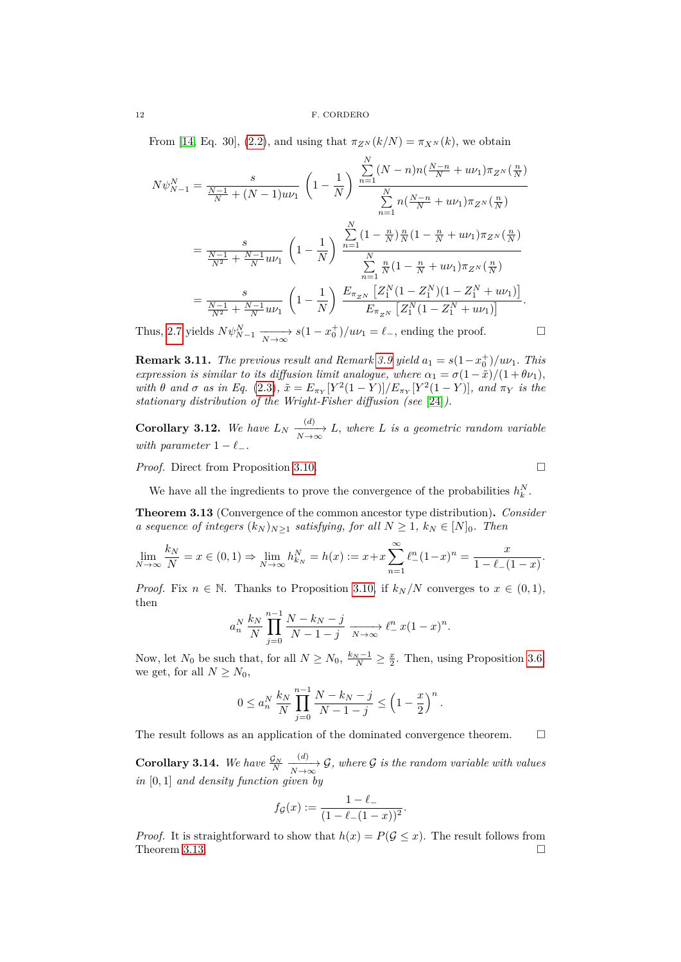From [\[14,](#page-29-9) Eq. 30], [\(2.2\)](#page-3-2), and using that  $\pi_{Z^N}(k/N) = \pi_{X^N}(k)$ , we obtain

$$
N\psi_{N-1}^{N} = \frac{s}{\frac{N-1}{N} + (N-1)u\nu_{1}} \left(1 - \frac{1}{N}\right) \frac{\sum_{n=1}^{N} (N-n)n\left(\frac{N-n}{N} + u\nu_{1}\right)\pi_{Z^{N}}\left(\frac{n}{N}\right)}{\sum_{n=1}^{N} n\left(\frac{N-n}{N} + u\nu_{1}\right)\pi_{Z^{N}}\left(\frac{n}{N}\right)}
$$

$$
= \frac{s}{\frac{N-1}{N^{2}} + \frac{N-1}{N}u\nu_{1}} \left(1 - \frac{1}{N}\right) \frac{\sum_{n=1}^{N} (1 - \frac{n}{N})\frac{n}{N}\left(1 - \frac{n}{N} + u\nu_{1}\right)\pi_{Z^{N}}\left(\frac{n}{N}\right)}{\sum_{n=1}^{N} \frac{n}{N}\left(1 - \frac{n}{N} + u\nu_{1}\right)\pi_{Z^{N}}\left(\frac{n}{N}\right)}
$$

$$
= \frac{s}{\frac{N-1}{N^{2}} + \frac{N-1}{N}u\nu_{1}} \left(1 - \frac{1}{N}\right) \frac{E_{\pi_{Z^{N}}}\left[Z_{1}^{N}\left(1 - Z_{1}^{N}\right)\left(1 - Z_{1}^{N} + u\nu_{1}\right)\right]}{E_{\pi_{Z^{N}}}\left[Z_{1}^{N}\left(1 - Z_{1}^{N} + u\nu_{1}\right)\right]}.
$$

Thus, [2.7](#page-4-4) yields  $N\psi_{N-1}^N \xrightarrow[N \to \infty]{} s(1-x_0^+)/u\nu_1 = \ell_-$ , ending the proof.

**Remark 3.11.** *The previous result and Remark [3.9](#page-10-2) yield*  $a_1 = s(1-x_0^+)/u$ . *This expression is similar to its diffusion limit analogue, where*  $\alpha_1 = \sigma(1 - \tilde{x})/(1 + \theta \nu_1)$ , with  $\theta$  and  $\sigma$  as in Eq. [\(2.3\)](#page-3-1),  $\tilde{x} = E_{\pi_Y}[Y^2(1-Y)]/E_{\pi_Y}[Y^2(1-Y)]$ , and  $\pi_Y$  is the *stationary distribution of the Wright-Fisher diffusion (see* [\[24\]](#page-29-8)*).*

<span id="page-11-1"></span>**Corollary 3.12.** We have  $L_N \xrightarrow[N \to \infty]{(d)} L$ , where *L* is a geometric random variable *with parameter*  $1 - \ell_-.$ 

*Proof.* Direct from Proposition [3.10.](#page-10-3) □

We have all the ingredients to prove the convergence of the probabilities  $h_k^N$ .

<span id="page-11-0"></span>**Theorem 3.13** (Convergence of the common ancestor type distribution)**.** *Consider a sequence of integers*  $(k_N)_{N\geq 1}$  *satisfying, for all*  $N \geq 1$ *,*  $k_N \in [N]_0$ *. Then* 

$$
\lim_{N \to \infty} \frac{k_N}{N} = x \in (0, 1) \Rightarrow \lim_{N \to \infty} h_{k_N}^N = h(x) := x + x \sum_{n=1}^{\infty} \ell_{-}^n (1 - x)^n = \frac{x}{1 - \ell_{-} (1 - x)}.
$$

*Proof.* Fix  $n \in \mathbb{N}$ . Thanks to Proposition [3.10,](#page-10-3) if  $k_N/N$  converges to  $x \in (0,1)$ , then

$$
a_n^N\,\frac{k_N}{N}\,\prod_{j=0}^{n-1}\frac{N-k_N-j}{N-1-j}\,\xrightarrow[N\to\infty]{}\ell_{-}^n\,x(1-x)^n.
$$

Now, let  $N_0$  be such that, for all  $N \ge N_0$ ,  $\frac{k_N - 1}{N} \ge \frac{x}{2}$ . Then, using Proposition [3.6,](#page-9-0) we get, for all  $N \geq N_0$ ,

$$
0 \le a_n^N \frac{k_N}{N} \prod_{j=0}^{n-1} \frac{N - k_N - j}{N - 1 - j} \le \left(1 - \frac{x}{2}\right)^n.
$$

The result follows as an application of the dominated convergence theorem.  $\Box$ 

**Corollary 3.14.** We have  $\frac{\mathcal{G}_N}{N}$  $\frac{(d)}{N\rightarrow\infty}$  G, where G is the random variable with values *in* [0*,* 1] *and density function given by*

$$
f_{\mathcal{G}}(x) := \frac{1 - \ell_-}{(1 - \ell_- (1 - x))^2}.
$$

*Proof.* It is straightforward to show that  $h(x) = P(\mathcal{G} \leq x)$ . The result follows from Theorem [3.13.](#page-11-0)  $\Box$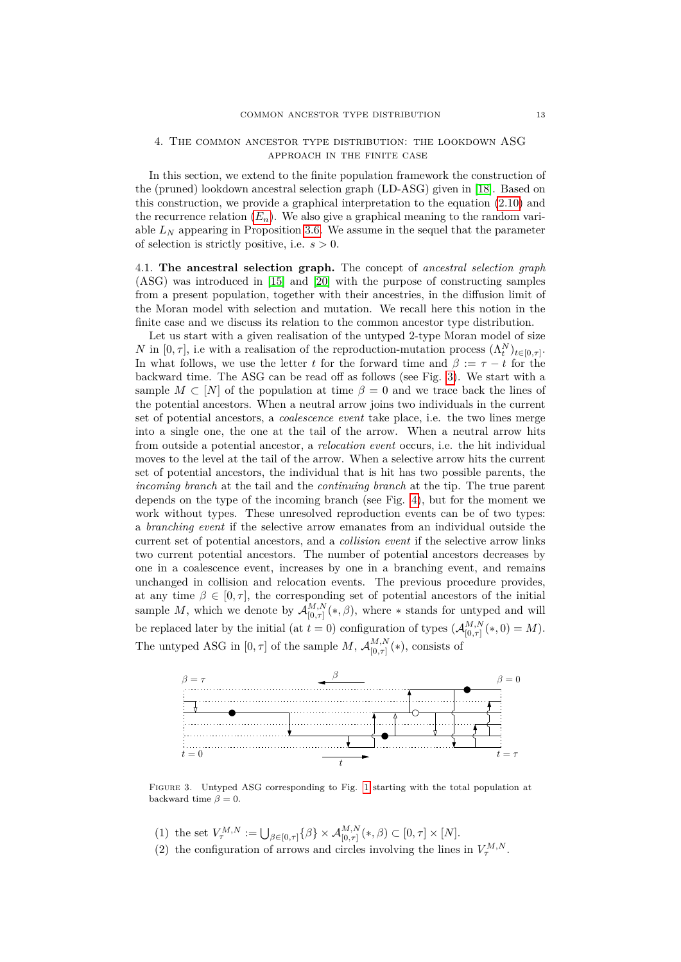### <span id="page-12-0"></span>4. The common ancestor type distribution: the lookdown ASG approach in the finite case

In this section, we extend to the finite population framework the construction of the (pruned) lookdown ancestral selection graph (LD-ASG) given in [\[18\]](#page-29-4). Based on this construction, we provide a graphical interpretation to the equation [\(2.10\)](#page-5-2) and the recurrence relation  $(E_n)$  $(E_n)$  $(E_n)$ . We also give a graphical meaning to the random variable  $L_N$  appearing in Proposition [3.6.](#page-9-0) We assume in the sequel that the parameter of selection is strictly positive, i.e. *s >* 0.

<span id="page-12-2"></span>4.1. **The ancestral selection graph.** The concept of *ancestral selection graph* (ASG) was introduced in [\[15\]](#page-29-1) and [\[20\]](#page-29-2) with the purpose of constructing samples from a present population, together with their ancestries, in the diffusion limit of the Moran model with selection and mutation. We recall here this notion in the finite case and we discuss its relation to the common ancestor type distribution.

Let us start with a given realisation of the untyped 2-type Moran model of size *N* in  $[0, \tau]$ , i.e with a realisation of the reproduction-mutation process  $(\Lambda_t^N)_{t \in [0, \tau]}$ . In what follows, we use the letter *t* for the forward time and  $\beta := \tau - t$  for the backward time. The ASG can be read off as follows (see Fig. [3\)](#page-12-1). We start with a sample  $M \subset [N]$  of the population at time  $\beta = 0$  and we trace back the lines of the potential ancestors. When a neutral arrow joins two individuals in the current set of potential ancestors, a *coalescence event* take place, i.e. the two lines merge into a single one, the one at the tail of the arrow. When a neutral arrow hits from outside a potential ancestor, a *relocation event* occurs, i.e. the hit individual moves to the level at the tail of the arrow. When a selective arrow hits the current set of potential ancestors, the individual that is hit has two possible parents, the *incoming branch* at the tail and the *continuing branch* at the tip. The true parent depends on the type of the incoming branch (see Fig. [4\)](#page-13-0), but for the moment we work without types. These unresolved reproduction events can be of two types: a *branching event* if the selective arrow emanates from an individual outside the current set of potential ancestors, and a *collision event* if the selective arrow links two current potential ancestors. The number of potential ancestors decreases by one in a coalescence event, increases by one in a branching event, and remains unchanged in collision and relocation events. The previous procedure provides, at any time  $\beta \in [0, \tau]$ , the corresponding set of potential ancestors of the initial sample M, which we denote by  $\mathcal{A}_{[0, \pi]}^{M,N}$  $_{[0,\tau]}^{M,N}(*,\beta)$ , where  $*$  stands for untyped and will be replaced later by the initial (at  $t = 0$ ) configuration of types  $(\mathcal{A}_{[0, \tau]}^{M,N})$  $\binom{M,N}{[0,\tau]}(*,0)=M.$ The untyped ASG in  $[0, \tau]$  of the sample *M*,  $\mathcal{A}_{[0, \tau]}^{M, N}$  $\binom{M,N}{[0,\tau]}$  (\*), consists of

<span id="page-12-1"></span>

Figure 3. Untyped ASG corresponding to Fig. [1](#page-3-0) starting with the total population at backward time  $\beta = 0$ .

- (1) the set  $V_{\tau}^{M,N} := \bigcup_{\beta \in [0,\tau]} \{\beta\} \times \mathcal{A}_{[0,\tau]}^{M,N}(*,\beta) \subset [0,\tau] \times [N].$
- (2) the configuration of arrows and circles involving the lines in  $V_{\tau}^{M,N}$ .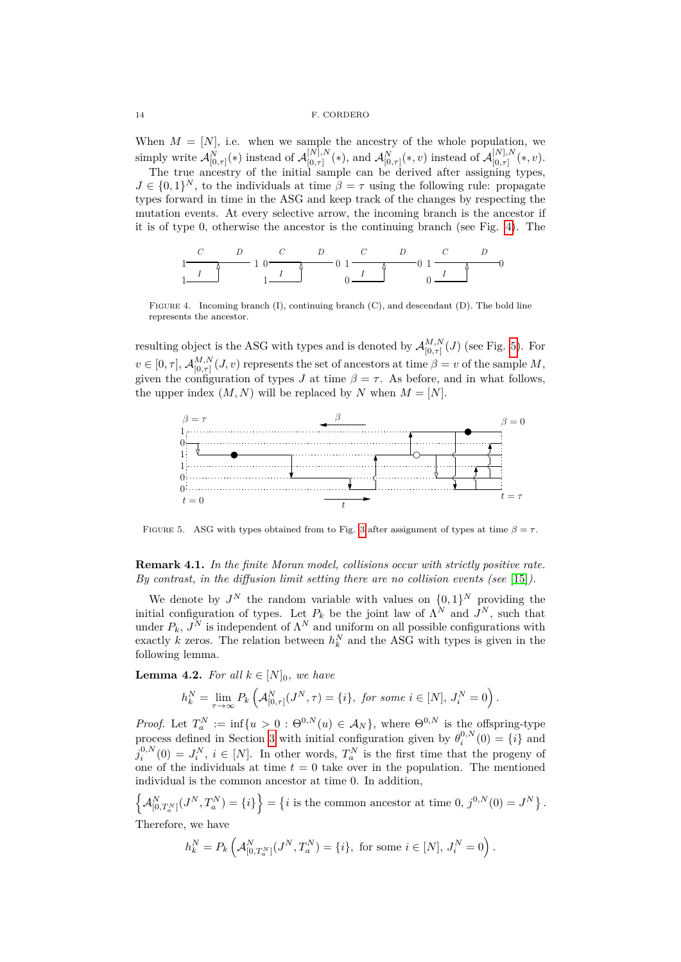When  $M = [N]$ , i.e. when we sample the ancestry of the whole population, we  $\text{simply write } \mathcal{A}^{N}_{[0,\tau]}(*) \text{ instead of } \mathcal{A}^{[N],N}_{[0,\tau]}$  $\mathcal{A}_{[0,\tau]}^{[N],N}(*),$  and  $\mathcal{A}_{[0,\tau]}^{N}(*,v)$  instead of  $\mathcal{A}_{[0,\tau]}^{[N],N}$  $\chi^{\{N\},N}_{[0,\tau]}(*,v).$ 

The true ancestry of the initial sample can be derived after assigning types,  $J \in \{0,1\}^N$ , to the individuals at time  $\beta = \tau$  using the following rule: propagate types forward in time in the ASG and keep track of the changes by respecting the mutation events. At every selective arrow, the incoming branch is the ancestor if it is of type 0, otherwise the ancestor is the continuing branch (see Fig. [4\)](#page-13-0). The

<span id="page-13-0"></span>

FIGURE 4. Incoming branch (I), continuing branch (C), and descendant (D). The bold line represents the ancestor.

resulting object is the ASG with types and is denoted by  $\mathcal{A}_{[0, \tau]}^{M,N}$  $\lim_{[0,\tau]}^{M,N}(J)$  (see Fig. [5\)](#page-13-1). For  $v \in [0, \tau], \mathcal{A}_{[0, \tau]}^{M,N}$  $\binom{M,N}{[0,\tau]}(J,v)$  represents the set of ancestors at time  $\beta = v$  of the sample *M*, given the configuration of types *J* at time  $\beta = \tau$ . As before, and in what follows, the upper index  $(M, N)$  will be replaced by *N* when  $M = [N]$ .

<span id="page-13-1"></span>

FIGURE 5. ASG with types obtained from to Fig. [3](#page-12-1) after assignment of types at time  $\beta = \tau$ .

**Remark 4.1.** *In the finite Moran model, collisions occur with strictly positive rate. By contrast, in the diffusion limit setting there are no collision events (see* [\[15\]](#page-29-1)*).*

We denote by  $J^N$  the random variable with values on  $\{0,1\}^N$  providing the initial configuration of types. Let  $P_k$  be the joint law of  $\Lambda^N$  and  $J^N$ , such that under  $P_k$ ,  $J^N$  is independent of  $\Lambda^N$  and uniform on all possible configurations with exactly *k* zeros. The relation between  $h_k^N$  and the ASG with types is given in the following lemma.

<span id="page-13-2"></span>**Lemma 4.2.** *For all*  $k \in [N]_0$ *, we have* 

$$
h_k^N = \lim_{\tau \to \infty} P_k \left( \mathcal{A}_{[0,\tau]}^N (J^N, \tau) = \{i\}, \text{ for some } i \in [N], J_i^N = 0 \right)
$$

*.*

*Proof.* Let  $T_a^N := \inf\{u > 0 : \Theta^{0,N}(u) \in \mathcal{A}_N\}$ , where  $\Theta^{0,N}$  is the offspring-type process defined in Section [3](#page-5-0) with initial configuration given by  $\theta_i^{0,N}(0) = \{i\}$  and  $j_i^{0,N}(0) = J_i^N$ ,  $i \in [N]$ . In other words,  $T_a^N$  is the first time that the progeny of one of the individuals at time  $t = 0$  take over in the population. The mentioned individual is the common ancestor at time 0. In addition,

 $\left\{ \mathcal{A}^{N}_{[0,T_{a}^{N}]}(J^{N},T_{a}^{N}) = \{i\} \right\} = \left\{ i \text{ is the common ancestor at time } 0, j^{0,N}(0) = J^{N} \right\}.$ Therefore, we have

$$
h_k^N = P_k\left(\mathcal{A}_{[0,T_a^N]}^N (J^N,T_a^N) = \{i\}, \text{ for some } i \in [N], J_i^N = 0\right).
$$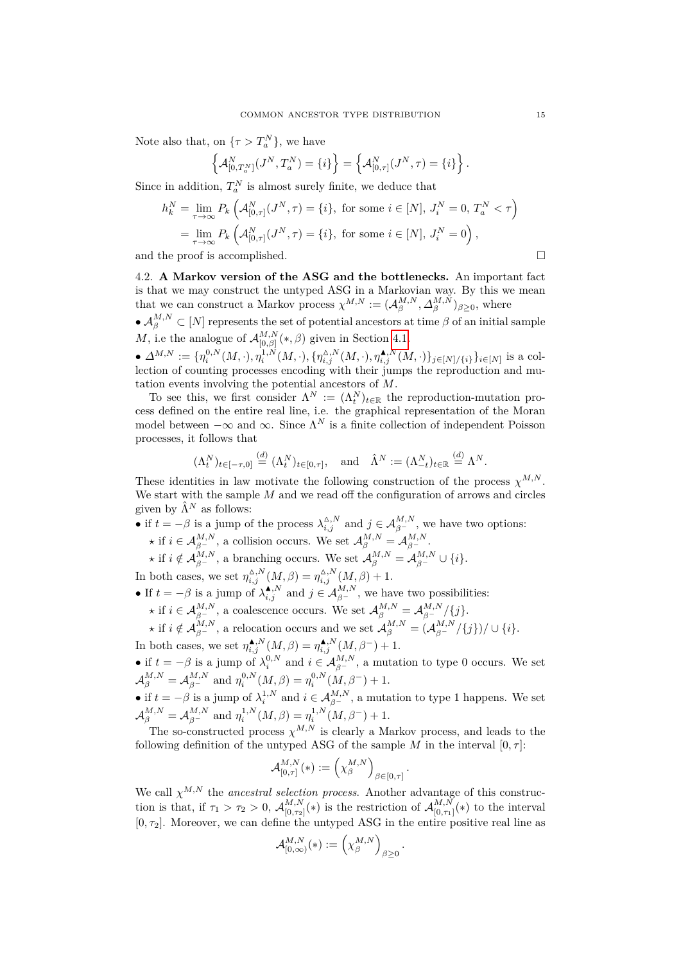Note also that, on  $\{\tau > T_a^N\}$ , we have

$$
\left\{ \mathcal{A}^{N}_{[0,T_a^N]}(J^N,T_a^N) = \{i\} \right\} = \left\{ \mathcal{A}^{N}_{[0,\tau]}(J^N,\tau) = \{i\} \right\}.
$$

Since in addition,  $T_a^N$  is almost surely finite, we deduce that

$$
h_k^N = \lim_{\tau \to \infty} P_k \left( \mathcal{A}_{[0,\tau]}^N (J^N, \tau) = \{i\}, \text{ for some } i \in [N], J_i^N = 0, T_a^N < \tau \right)
$$
\n
$$
= \lim_{\tau \to \infty} P_k \left( \mathcal{A}_{[0,\tau]}^N (J^N, \tau) = \{i\}, \text{ for some } i \in [N], J_i^N = 0 \right),
$$

and the proof is accomplished.  $\Box$ 

<span id="page-14-0"></span>4.2. **A Markov version of the ASG and the bottlenecks.** An important fact is that we may construct the untyped ASG in a Markovian way. By this we mean that we can construct a Markov process  $\chi^{M,N} := (\mathcal{A}_{\beta}^{M,N}, \Delta_{\beta}^{M,N})_{\beta \geq 0}$ , where

 $\bullet$   $\mathcal{A}_{\beta}^{M,N} \subset [N]$  represents the set of potential ancestors at time  $\beta$  of an initial sample *M*, i.e the analogue of  $\mathcal{A}_{[0, \beta]}^{M,N}$  $\lim_{[0,\beta]}$  (\*,  $\beta$ ) given in Section [4.1.](#page-12-2)

•  $\Delta^{M,N} := \{ \eta_i^{0,N}(M,\cdot), \eta_i^{1,N}(M,\cdot), \{ \eta_{i,j}^{\Delta,N}(M,\cdot), \eta_{i,j}^{\blacktriangle N}(M,\cdot) \}_{j \in [N]/\{i\}} \}_{i \in [N]}$  is a collection of counting processes encoding with their jumps the reproduction and mutation events involving the potential ancestors of *M*.

To see this, we first consider  $\Lambda^N := (\Lambda_t^N)_{t \in \mathbb{R}}$  the reproduction-mutation process defined on the entire real line, i.e. the graphical representation of the Moran model between  $-\infty$  and  $\infty$ . Since  $\Lambda^N$  is a finite collection of independent Poisson processes, it follows that

$$
(\Lambda_t^N)_{t \in [-\tau,0]} \stackrel{(d)}{=} (\Lambda_t^N)_{t \in [0,\tau]}, \quad \text{and} \quad \hat{\Lambda}^N := (\Lambda_{-t}^N)_{t \in \mathbb{R}} \stackrel{(d)}{=} \Lambda^N.
$$

These identities in law motivate the following construction of the process  $\chi^{M,N}$ . We start with the sample *M* and we read off the configuration of arrows and circles given by  $\hat{\Lambda}^N$  as follows:

- if  $t = -\beta$  is a jump of the process  $\lambda_{i,j}^{\Delta,N}$  and  $j \in \mathcal{A}_{\beta}^{M,N}$ , we have two options:
	- $\star$  if  $i \in A_{\beta}^{M,N}$ , a collision occurs. We set  $A_{\beta}^{M,N} = A_{\beta}^{M,N}$ .

 $\star$  if  $i \notin \mathcal{A}_{\beta}^{M,N}$ , a branching occurs. We set  $\mathcal{A}_{\beta}^{M,N} = \mathcal{A}_{\beta}^{M,N} \cup \{i\}$ .

In both cases, we set  $\eta_{i,j}^{\Delta,N}(M,\beta) = \eta_{i,j}^{\Delta,N}(M,\beta) + 1$ .

- If  $t = -\beta$  is a jump of  $\lambda_{i,j}^{A,N}$  and  $j \in \mathcal{A}_{\beta^{-}}^{M,N}$ , we have two possibilities:
	- $\star$  if  $i \in A_{\beta}^{M,N}$ , a coalescence occurs. We set  $A_{\beta}^{M,N} = A_{\beta}^{M,N} / \{j\}$ .

 $\star$  if  $i \notin \mathcal{A}_{\beta}^{M,N}$ , a relocation occurs and we set  $\mathcal{A}_{\beta}^{M,N} = (\mathcal{A}_{\beta}^{M,N}/\{j\})/\cup \{i\}.$ In both cases, we set  $\eta_{i,j}^{\spadesuit,N}(M,\beta) = \eta_{i,j}^{\spadesuit,N}(M,\beta^-) + 1$ .

• if  $t = -\beta$  is a jump of  $\lambda_i^{0,N}$  and  $i \in A_{\beta}^{M,N}$ , a mutation to type 0 occurs. We set  $A_{\beta}^{M,N} = A_{\beta}^{M,N}$  and  $x_0^{0,N}(M,\beta) = x_0^{0,N}(M,\beta)$  $\mathcal{A}_{\beta}^{M,N} = \mathcal{A}_{\beta^{-}}^{M,N}$  and  $\eta_i^{0,N}(M,\beta) = \eta_i^{0,N}(M,\beta^{-}) + 1.$  $\mathbf{u}_i \quad (\mathbf{w}, \mathbf{\mu}) = \mathbf{u}_i$ 

• if  $t = -\beta$  is a jump of  $\lambda_i^{1,N}$  and  $i \in \mathcal{A}_{\beta^{-}}^{M,N}$ , a mutation to type 1 happens. We set  $\mathcal{A}_{\beta}^{M,N} = \mathcal{A}_{\beta^{-}}^{M,N}$  and  $\eta_i^{1,N}(M,\beta) = \eta_i^{1,N}(M,\beta^{-}) + 1$ .

The so-constructed process  $\chi^{M,N}$  is clearly a Markov process, and leads to the following definition of the untyped ASG of the sample *M* in the interval  $[0, \tau]$ :

$$
\mathcal{A}_{[0,\tau]}^{M,N}(*) := \left(\chi_{\beta}^{M,N}\right)_{\beta \in [0,\tau]}.
$$

We call  $\chi^{M,N}$  the *ancestral selection process*. Another advantage of this construction is that, if  $\tau_1 > \tau_2 > 0$ ,  $\mathcal{A}_{[0,\tau_2]}^{M,N}$  $\binom{M,N}{[0,\tau_2]}$  (\*) is the restriction of  $\mathcal{A}_{[0,\tau_1]}^{M,N}$  $\binom{M,N}{[0,\tau_1]}$  (\*) to the interval  $[0, \tau_2]$ . Moreover, we can define the untyped ASG in the entire positive real line as

$$
\mathcal{A}_{[0,\infty)}^{M,N}(*):=\left(\chi_\beta^{M,N}\right)_{\beta\geq 0}.
$$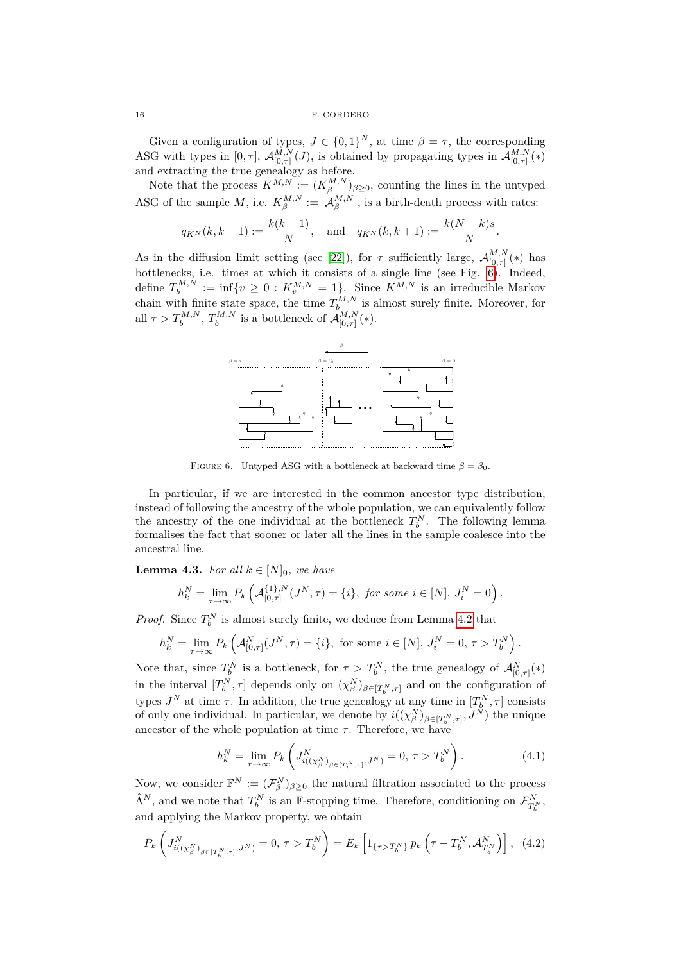16 F. CORDERC

Given a configuration of types,  $J \in \{0,1\}^N$ , at time  $\beta = \tau$ , the corresponding ASG with types in  $[0, \tau]$ ,  $\mathcal{A}_{[0, \tau]}^{M,N}$  $_{[0,\tau]}^{M,N}(J)$ , is obtained by propagating types in  $\mathcal{A}_{[0,\tau]}^{M,N}$  $\frac{M,N}{[0,\tau]}(*)$ and extracting the true genealogy as before.

Note that the process  $K^{M,N} := (K^{M,N}_{\beta})_{\beta \geq 0}$ , counting the lines in the untyped ASG of the sample *M*, i.e.  $K_{\beta}^{M,N} := |\mathcal{A}_{\beta}^{M,N}|$ , is a birth-death process with rates:

$$
q_{K^N}(k, k-1) := \frac{k(k-1)}{N}
$$
, and  $q_{K^N}(k, k+1) := \frac{k(N-k)s}{N}$ .

As in the diffusion limit setting (see [\[22\]](#page-29-3)), for  $\tau$  sufficiently large,  $\mathcal{A}_{[0,\tau]}^{M,N}$  $\lim_{[0,\tau]}^{M,N}(*)$  has bottlenecks, i.e. times at which it consists of a single line (see Fig. [6\)](#page-15-0). Indeed, define  $T_b^{M,N} := \inf\{v \geq 0 : K_v^{M,N} = 1\}$ . Since  $K^{M,N}$  is an irreducible Markov chain with finite state space, the time  $T_{b}^{M,N}$  is almost surely finite. Moreover, for all  $\tau > T_b^{M,N}, T_b^{M,N}$  is a bottleneck of  $\mathcal{A}_{[0,\tau]}^{M,N}$  $\frac{M,N}{[0,\tau]}(*)$ .

<span id="page-15-0"></span>

FIGURE 6. Untyped ASG with a bottleneck at backward time  $\beta = \beta_0$ .

In particular, if we are interested in the common ancestor type distribution, instead of following the ancestry of the whole population, we can equivalently follow the ancestry of the one individual at the bottleneck  $T_b^N$ . The following lemma formalises the fact that sooner or later all the lines in the sample coalesce into the ancestral line.

<span id="page-15-3"></span>**Lemma 4.3.** *For all*  $k \in [N]_0$ *, we have* 

$$
h_k^N = \lim_{\tau \to \infty} P_k \left( \mathcal{A}_{[0,\tau]}^{\{1\},N}(J^N, \tau) = \{i\}, \text{ for some } i \in [N], J_i^N = 0 \right).
$$

*Proof.* Since  $T_b^N$  is almost surely finite, we deduce from Lemma [4.2](#page-13-2) that

$$
h_k^N = \lim_{\tau \to \infty} P_k \left( \mathcal{A}_{[0,\tau]}^N (J^N, \tau) = \{i\}, \text{ for some } i \in [N], J_i^N = 0, \tau > T_b^N \right).
$$

Note that, since  $T_b^N$  is a bottleneck, for  $\tau > T_b^N$ , the true genealogy of  $\mathcal{A}_{[0,\tau]}^N(*)$ in the interval  $[T_b^N, \tau]$  depends only on  $(\chi_\beta^N)_{\beta \in [T_b^N, \tau]}$  and on the configuration of types  $J^N$  at time  $\tau$ . In addition, the true genealogy at any time in  $[T_b^N, \tau]$  consists of only one individual. In particular, we denote by  $i((\chi_{\beta}^N)_{\beta \in [T_b^N, \tau]}, J^N)$  the unique ancestor of the whole population at time  $\tau$ . Therefore, we have

<span id="page-15-2"></span>
$$
h_k^N = \lim_{\tau \to \infty} P_k \left( J_{i((\chi_{\beta}^N)_{\beta \in [T_b^N, \tau]}, J^N)}^N = 0, \, \tau > T_b^N \right). \tag{4.1}
$$

Now, we consider  $\mathbb{F}^N := (\mathcal{F}_{\beta}^N)_{\beta \geq 0}$  the natural filtration associated to the process  $\hat{\Lambda}^N$ , and we note that  $T_b^N$  is an **F**-stopping time. Therefore, conditioning on  $\mathcal{F}^N_{T_b^N}$ , and applying the Markov property, we obtain

<span id="page-15-1"></span>
$$
P_k\left(J^N_{i((\chi^N_\beta)_{\beta \in [T^N_b, \tau]}, J^N)} = 0, \ \tau > T^N_b\right) = E_k\left[1_{\{\tau > T^N_b\}} p_k\left(\tau - T^N_b, \mathcal{A}^N_{T^N_b}\right)\right], \tag{4.2}
$$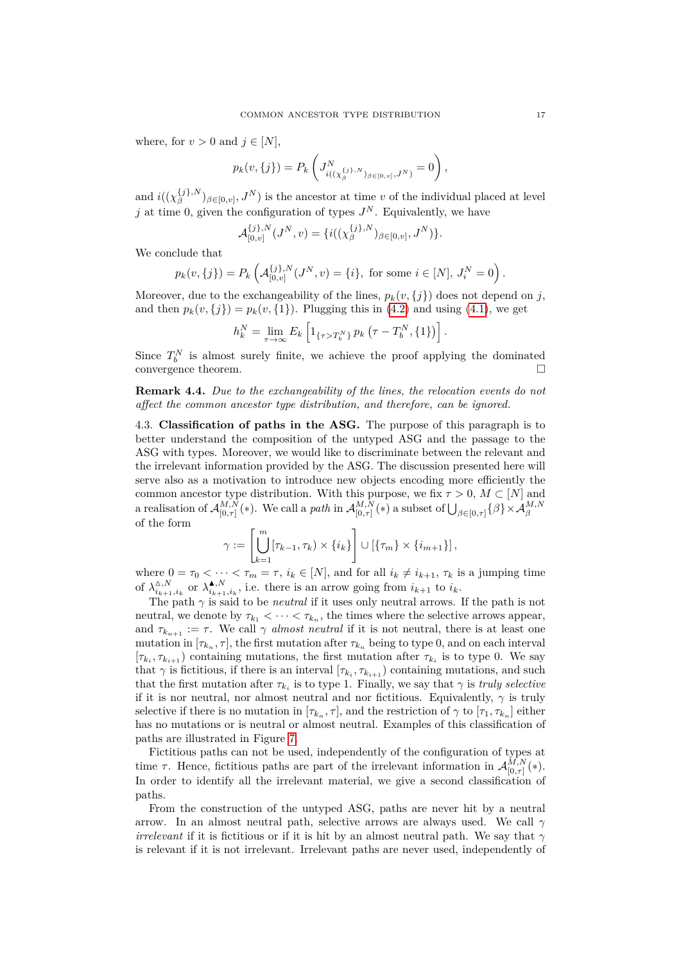where, for  $v > 0$  and  $j \in [N]$ ,

$$
p_k(v, \{j\}) = P_k \left( J^N_{i((\chi_\beta^{\{j\}, N})_{\beta \in [0, v]}, J^N)} = 0 \right),
$$

and  $i((\chi_{\beta}^{\{j\},N})$  $\binom{\{j\},N}{\beta}$ <sub>*β*∈[0*,v*]</sub>,  $J^N$ ) is the ancestor at time *v* of the individual placed at level *j* at time 0, given the configuration of types  $J<sup>N</sup>$ . Equivalently, we have

$$
\mathcal{A}_{[0,v]}^{\{j\},N}(J^N,v)=\{i((\chi_{\beta}^{\{j\},N})_{\beta\in[0,v]},J^N)\}.
$$

We conclude that

$$
p_k(v, \{j\}) = P_k\left(\mathcal{A}_{[0,v]}^{\{j\},N}(J^N, v) = \{i\}, \text{ for some } i \in [N], J_i^N = 0\right).
$$

Moreover, due to the exchangeability of the lines,  $p_k(v, \{j\})$  does not depend on *j*, and then  $p_k(v, \{j\}) = p_k(v, \{1\})$ . Plugging this in [\(4.2\)](#page-15-1) and using [\(4.1\)](#page-15-2), we get

$$
h_k^N = \lim_{\tau \to \infty} E_k \left[ 1_{\{\tau > T_b^N\}} p_k \left( \tau - T_b^N, \{1\} \right) \right].
$$

Since  $T_b^N$  is almost surely finite, we achieve the proof applying the dominated convergence theorem.

**Remark 4.4.** *Due to the exchangeability of the lines, the relocation events do not affect the common ancestor type distribution, and therefore, can be ignored.*

<span id="page-16-0"></span>4.3. **Classification of paths in the ASG.** The purpose of this paragraph is to better understand the composition of the untyped ASG and the passage to the ASG with types. Moreover, we would like to discriminate between the relevant and the irrelevant information provided by the ASG. The discussion presented here will serve also as a motivation to introduce new objects encoding more efficiently the common ancestor type distribution. With this purpose, we fix  $\tau > 0$ ,  $M \subset [N]$  and a realisation of  $\mathcal{A}_{\left[0\right]}^{M,N}$  $_{[0,\tau]}^{M,N}(*)$ . We call a *path* in  $\mathcal{A}_{[0,\tau]}^{M,N}$  $\bigcup_{[0,\tau]}^{M,N}(*)$  a subset of  $\bigcup_{\beta \in [0,\tau]} \{\beta\} \times \mathcal{A}_{\beta}^{M,N}$ of the form

$$
\gamma := \left[\bigcup_{k=1}^m [\tau_{k-1}, \tau_k) \times \{i_k\}\right] \cup \left[\{\tau_m\} \times \{i_{m+1}\}\right],
$$

where  $0 = \tau_0 < \cdots < \tau_m = \tau$ ,  $i_k \in [N]$ , and for all  $i_k \neq i_{k+1}, \tau_k$  is a jumping time of  $\lambda_{i}^{\Delta,N}$  $\lambda_{i_{k+1},i_k}^{\Delta,N}$  or  $\lambda_{i_{k+1}}^{\blacktriangle,N}$  $\mathbf{i}_{i_{k+1},i_k}^{N}$ , i.e. there is an arrow going from  $i_{k+1}$  to  $i_k$ .

The path  $\gamma$  is said to be *neutral* if it uses only neutral arrows. If the path is not neutral, we denote by  $\tau_{k_1} < \cdots < \tau_{k_n}$ , the times where the selective arrows appear, and  $\tau_{k_{n+1}} := \tau$ . We call  $\gamma$  *almost neutral* if it is not neutral, there is at least one mutation in  $[\tau_{k_n}, \tau]$ , the first mutation after  $\tau_{k_n}$  being to type 0, and on each interval  $[\tau_{k_i}, \tau_{k_{i+1}})$  containing mutations, the first mutation after  $\tau_{k_i}$  is to type 0. We say that  $\gamma$  is fictitious, if there is an interval  $[\tau_{k_i}, \tau_{k_{i+1}})$  containing mutations, and such that the first mutation after  $\tau_{k_i}$  is to type 1. Finally, we say that  $\gamma$  is *truly selective* if it is nor neutral, nor almost neutral and nor fictitious. Equivalently,  $\gamma$  is truly selective if there is no mutation in  $[\tau_{k_n}, \tau]$ , and the restriction of  $\gamma$  to  $[\tau_1, \tau_{k_n}]$  either has no mutations or is neutral or almost neutral. Examples of this classification of paths are illustrated in Figure [7.](#page-17-0)

Fictitious paths can not be used, independently of the configuration of types at time  $\tau$ . Hence, fictitious paths are part of the irrelevant information in  $\mathcal{A}_{[0,\tau]}^{M,N}$  $\frac{M,N}{[0,\tau]}(*).$ In order to identify all the irrelevant material, we give a second classification of paths.

From the construction of the untyped ASG, paths are never hit by a neutral arrow. In an almost neutral path, selective arrows are always used. We call *γ irrelevant* if it is fictitious or if it is hit by an almost neutral path. We say that *γ* is relevant if it is not irrelevant. Irrelevant paths are never used, independently of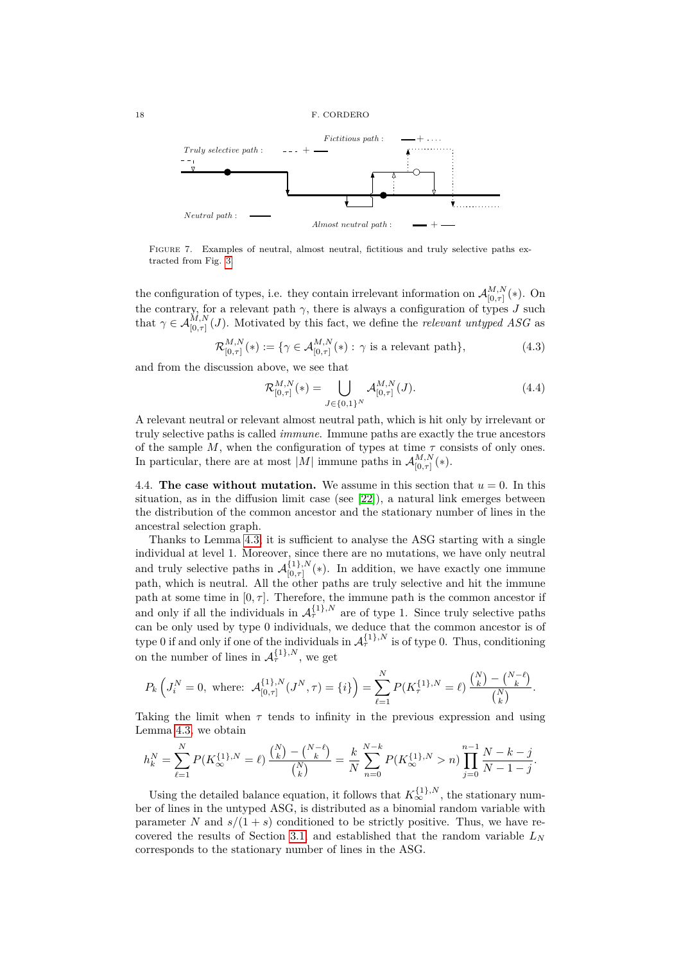<span id="page-17-0"></span>

FIGURE 7. Examples of neutral, almost neutral, fictitious and truly selective paths extracted from Fig. [3.](#page-12-1)

the configuration of types, i.e. they contain irrelevant information on  $\mathcal{A}_{[0, \pi]}^{M,N}$  $\frac{M_1,N}{[0,\tau]}(*)$ . On the contrary, for a relevant path  $\gamma$ , there is always a configuration of types *J* such that  $\gamma \in \mathcal{A}_{[0,\tau]}^{M,N}(J)$ . Motivated by this fact, we define the *relevant untyped ASG* as

$$
\mathcal{R}_{[0,\tau]}^{M,N}(*) := \{ \gamma \in \mathcal{A}_{[0,\tau]}^{M,N}(*) : \gamma \text{ is a relevant path} \},\tag{4.3}
$$

and from the discussion above, we see that

<span id="page-17-1"></span>
$$
\mathcal{R}_{[0,\tau]}^{M,N}(*) = \bigcup_{J \in \{0,1\}^N} \mathcal{A}_{[0,\tau]}^{M,N}(J). \tag{4.4}
$$

A relevant neutral or relevant almost neutral path, which is hit only by irrelevant or truly selective paths is called *immune*. Immune paths are exactly the true ancestors of the sample  $M$ , when the configuration of types at time  $\tau$  consists of only ones. In particular, there are at most |M| immune paths in  $\mathcal{A}_{[0, \pi]}^{M,N}$  $\frac{M,N}{[0,\tau]}(*).$ 

4.4. **The case without mutation.** We assume in this section that  $u = 0$ . In this situation, as in the diffusion limit case (see  $[22]$ ), a natural link emerges between the distribution of the common ancestor and the stationary number of lines in the ancestral selection graph.

Thanks to Lemma [4.3,](#page-15-3) it is sufficient to analyse the ASG starting with a single individual at level 1. Moreover, since there are no mutations, we have only neutral and truly selective paths in  $\mathcal{A}_{[0, \pi]}^{\{1\}, N}$  $\binom{1}{0,\tau}$  (\*). In addition, we have exactly one immune path, which is neutral. All the other paths are truly selective and hit the immune path at some time in  $[0, \tau]$ . Therefore, the immune path is the common ancestor if and only if all the individuals in  $\mathcal{A}_{\tau}^{\{1\},N}$  are of type 1. Since truly selective paths can be only used by type 0 individuals, we deduce that the common ancestor is of type 0 if and only if one of the individuals in  $\mathcal{A}_{\tau}^{\{1\},N}$  is of type 0. Thus, conditioning on the number of lines in  $\mathcal{A}_{\tau}^{\{1\},N}$ , we get

$$
P_k\left(J_i^N=0, \text{ where: } \mathcal{A}_{[0,\tau]}^{\{1\},N}(J^N,\tau)=\{i\}\right)=\sum_{\ell=1}^N P(K_{\tau}^{\{1\},N}=\ell)\frac{\binom{N}{k}-\binom{N-\ell}{k}}{\binom{N}{k}}.
$$

Taking the limit when  $\tau$  tends to infinity in the previous expression and using Lemma [4.3,](#page-15-3) we obtain

$$
h_k^N = \sum_{\ell=1}^N P(K_{\infty}^{\{1\},N} = \ell) \frac{\binom{N}{k} - \binom{N-\ell}{k}}{\binom{N}{k}} = \frac{k}{N} \sum_{n=0}^{N-k} P(K_{\infty}^{\{1\},N} > n) \prod_{j=0}^{n-1} \frac{N-k-j}{N-1-j}.
$$

Using the detailed balance equation, it follows that  $K_{\infty}^{\{1\},N}$ , the stationary number of lines in the untyped ASG, is distributed as a binomial random variable with parameter *N* and  $s/(1 + s)$  conditioned to be strictly positive. Thus, we have re-covered the results of Section [3.1,](#page-6-3) and established that the random variable  $L<sub>N</sub>$ corresponds to the stationary number of lines in the ASG.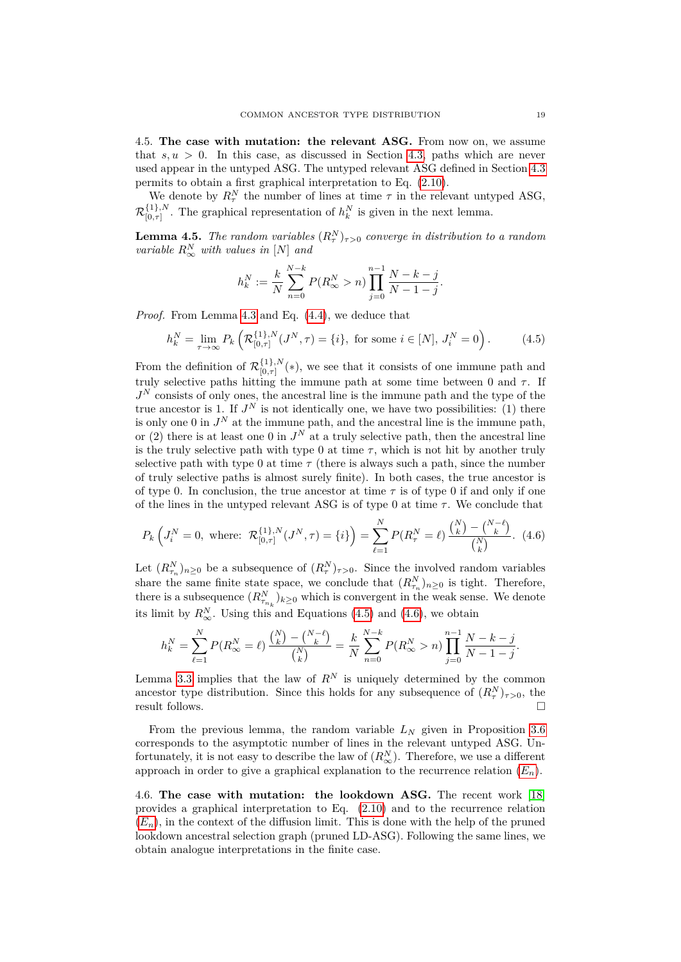4.5. **The case with mutation: the relevant ASG.** From now on, we assume that  $s, u > 0$ . In this case, as discussed in Section [4.3,](#page-16-0) paths which are never used appear in the untyped ASG. The untyped relevant ASG defined in Section [4.3](#page-16-0) permits to obtain a first graphical interpretation to Eq. [\(2.10\)](#page-5-2).

We denote by  $R^N_\tau$  the number of lines at time  $\tau$  in the relevant untyped ASG,  $\mathcal{R}_{\mathsf{I}0,\pi\mathsf{I}}^{\{1\},N}$  $\binom{11}{0,\tau}$ . The graphical representation of  $h_k^N$  is given in the next lemma.

<span id="page-18-2"></span>**Lemma 4.5.** *The random variables*  $(R_\tau^N)_{\tau>0}$  *converge in distribution to a random variable R<sup>N</sup>* <sup>∞</sup> *with values in* [*N*] *and*

$$
h_k^N := \frac{k}{N} \sum_{n=0}^{N-k} P(R_\infty^N > n) \prod_{j=0}^{n-1} \frac{N-k-j}{N-1-j}.
$$

*Proof.* From Lemma [4.3](#page-15-3) and Eq. [\(4.4\)](#page-17-1), we deduce that

<span id="page-18-0"></span>
$$
h_k^N = \lim_{\tau \to \infty} P_k \left( \mathcal{R}_{[0,\tau]}^{\{1\},N}(J^N, \tau) = \{i\}, \text{ for some } i \in [N], J_i^N = 0 \right). \tag{4.5}
$$

From the definition of  $\mathcal{R}_{\ln 7}^{\{1\},N}$  ${}_{[0,\tau]}^{(1)}(*)$ , we see that it consists of one immune path and truly selective paths hitting the immune path at some time between  $0$  and  $\tau$ . If *J <sup>N</sup>* consists of only ones, the ancestral line is the immune path and the type of the true ancestor is 1. If  $J^N$  is not identically one, we have two possibilities: (1) there is only one 0 in  $J<sup>N</sup>$  at the immune path, and the ancestral line is the immune path, or (2) there is at least one 0 in  $J<sup>N</sup>$  at a truly selective path, then the ancestral line is the truly selective path with type 0 at time  $\tau$ , which is not hit by another truly selective path with type 0 at time  $\tau$  (there is always such a path, since the number of truly selective paths is almost surely finite). In both cases, the true ancestor is of type 0. In conclusion, the true ancestor at time  $\tau$  is of type 0 if and only if one of the lines in the untyped relevant ASG is of type 0 at time  $\tau$ . We conclude that

<span id="page-18-1"></span>
$$
P_k\left(J_i^N=0,\text{ where: }\mathcal{R}_{[0,\tau]}^{\{1\},N}(J^N,\tau)=\{i\}\right)=\sum_{\ell=1}^N P(R_\tau^N=\ell)\,\frac{\binom{N}{k}-\binom{N-\ell}{k}}{\binom{N}{k}}.\tag{4.6}
$$

Let  $(R_{\tau_n}^N)_{n\geq 0}$  be a subsequence of  $(R_{\tau}^N)_{\tau>0}$ . Since the involved random variables share the same finite state space, we conclude that  $(R_{\tau_n}^N)_{n\geq 0}$  is tight. Therefore, there is a subsequence  $(R_{\tau_{n_k}}^N)_{k\geq 0}$  which is convergent in the weak sense. We denote its limit by  $R^N_\infty$ . Using this and Equations [\(4.5\)](#page-18-0) and [\(4.6\)](#page-18-1), we obtain

$$
h_k^N = \sum_{\ell=1}^N P(R_\infty^N = \ell) \, \frac{\binom{N}{k} - \binom{N-\ell}{k}}{\binom{N}{k}} = \frac{k}{N} \sum_{n=0}^{N-k} P(R_\infty^N > n) \prod_{j=0}^{n-1} \frac{N-k-j}{N-1-j}.
$$

Lemma [3.3](#page-7-0) implies that the law of  $R^N$  is uniquely determined by the common ancestor type distribution. Since this holds for any subsequence of  $(R^N_\tau)_{\tau>0}$ , the result follows.

From the previous lemma, the random variable *L<sup>N</sup>* given in Proposition [3.6](#page-9-0) corresponds to the asymptotic number of lines in the relevant untyped ASG. Unfortunately, it is not easy to describe the law of  $(R_{\infty}^N)$ . Therefore, we use a different approach in order to give a graphical explanation to the recurrence relation  $(E_n)$  $(E_n)$  $(E_n)$ .

4.6. **The case with mutation: the lookdown ASG.** The recent work [\[18\]](#page-29-4) provides a graphical interpretation to Eq. [\(2.10\)](#page-5-2) and to the recurrence relation  $(E_n)$  $(E_n)$  $(E_n)$ , in the context of the diffusion limit. This is done with the help of the pruned lookdown ancestral selection graph (pruned LD-ASG). Following the same lines, we obtain analogue interpretations in the finite case.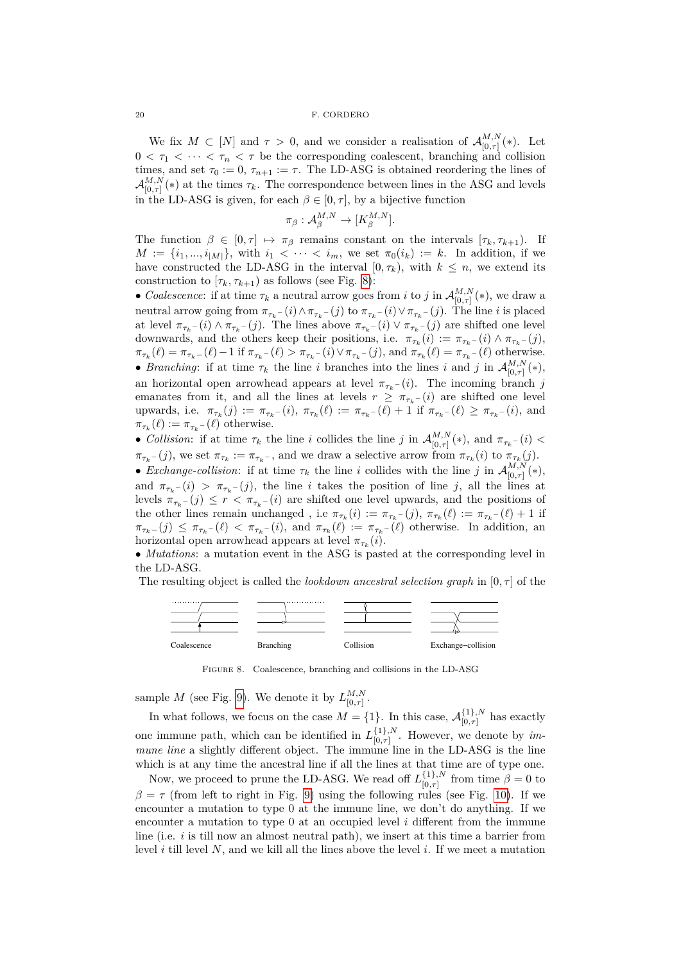We fix  $M \subset [N]$  and  $\tau > 0$ , and we consider a realisation of  $\mathcal{A}_{[0, \tau]}^{M,N}$  $L_{[0,\tau]}^{M,N}(*)$ . Let  $0 < \tau_1 < \cdots < \tau_n < \tau$  be the corresponding coalescent, branching and collision times, and set  $\tau_0 := 0$ ,  $\tau_{n+1} := \tau$ . The LD-ASG is obtained reordering the lines of  $\mathcal{A}^{M,N}_{\mathsf{fn}\,\pi\mathsf{N}}$  $L_{[0,\tau]}^{M,N}$  (\*) at the times  $\tau_k$ . The correspondence between lines in the ASG and levels in the LD-ASG is given, for each  $\beta \in [0, \tau]$ , by a bijective function

$$
\pi_{\beta}: \mathcal{A}_{\beta}^{M,N} \to [K_{\beta}^{M,N}].
$$

The function  $\beta \in [0, \tau] \mapsto \pi_{\beta}$  remains constant on the intervals  $[\tau_k, \tau_{k+1})$ . If  $M := \{i_1, ..., i_{|M|}\},$  with  $i_1 < \cdots < i_m$ , we set  $\pi_0(i_k) := k$ . In addition, if we have constructed the LD-ASG in the interval  $[0, \tau_k)$ , with  $k \leq n$ , we extend its construction to  $[\tau_k, \tau_{k+1}]$  as follows (see Fig. [8\)](#page-19-0):

• *Coalescence*: if at time  $\tau_k$  a neutral arrow goes from *i* to *j* in  $\mathcal{A}_{[0, \tau]}^{M,N}$  $\int_{[0,\tau]}^{M,N} (*)$ , we draw a neutral arrow going from  $\pi_{\tau_k}$  –  $(i) \wedge \pi_{\tau_k}$  –  $(j)$  to  $\pi_{\tau_k}$  –  $(i) \vee \pi_{\tau_k}$  –  $(j)$ . The line *i* is placed at level  $\pi_{\tau_k}$  – (*i*)  $\wedge \pi_{\tau_k}$  – (*j*). The lines above  $\pi_{\tau_k}$  – (*i*)  $\vee \pi_{\tau_k}$  – (*j*) are shifted one level downwards, and the others keep their positions, i.e.  $\pi_{\tau_k}(i) := \pi_{\tau_k}(i) \wedge \pi_{\tau_k}(j)$ ,  $\pi_{\tau_k}(\ell) = \pi_{\tau_k}(\ell) - 1$  if  $\pi_{\tau_k}(\ell) > \pi_{\tau_k}(\ell) \vee \pi_{\tau_k}(\ell)$ , and  $\pi_{\tau_k}(\ell) = \pi_{\tau_k}(\ell)$  otherwise. • *Branching*: if at time  $\tau_k$  the line *i* branches into the lines *i* and *j* in  $\mathcal{A}_{[0, \tau]}^{M,N}$  $\frac{M,N}{[0,\tau]}(*),$ an horizontal open arrowhead appears at level  $\pi_{\tau_k}$  – (*i*). The incoming branch *j* emanates from it, and all the lines at levels  $r \geq \pi_{\tau_k}$  – (*i*) are shifted one level upwards, i.e.  $\pi_{\tau_k}(j) := \pi_{\tau_k}(i), \pi_{\tau_k}(\ell) := \pi_{\tau_k}(\ell) + 1$  if  $\pi_{\tau_k}(\ell) \geq \pi_{\tau_k}(\ell)$ , and  $\pi_{\tau_k}(\ell) := \pi_{\tau_k}(\ell)$  otherwise.

• *Collision*: if at time  $\tau_k$  the line *i* collides the line *j* in  $\mathcal{A}_{[0, \tau]}^{M,N}$  $\int_{[0,\tau]}^{M,N}(*)$ , and  $\pi_{\tau_k}$  –  $(i)$  <  $\pi_{\tau_k}$  – (*j*), we set  $\pi_{\tau_k} := \pi_{\tau_k}$ , and we draw a selective arrow from  $\pi_{\tau_k}(i)$  to  $\pi_{\tau_k}(j)$ . • *Exchange-collision*: if at time  $\tau_k$  the line *i* collides with the line *j* in  $\mathcal{A}_{[0,\tau]}^{M,N}$ 

 $\frac{M,N}{[0,\tau]}(*),$ and  $\pi_{\tau_k}$  − (*i*) >  $\pi_{\tau_k}$  − (*j*), the line *i* takes the position of line *j*, all the lines at levels  $\pi_{\tau_k}(j) \leq r < \pi_{\tau_k}(i)$  are shifted one level upwards, and the positions of the other lines remain unchanged, i.e  $\pi_{\tau_k}(i) := \pi_{\tau_k}(j)$ ,  $\pi_{\tau_k}(\ell) := \pi_{\tau_k}(i) + 1$  if  $\pi_{\tau_k-}(j) \leq \pi_{\tau_k-}(\ell) < \pi_{\tau_k-}(i)$ , and  $\pi_{\tau_k}(\ell) := \pi_{\tau_k-}(\ell)$  otherwise. In addition, an horizontal open arrowhead appears at level  $\pi_{\tau_k}(i)$ .

• *Mutations*: a mutation event in the ASG is pasted at the corresponding level in the LD-ASG.

<span id="page-19-0"></span>The resulting object is called the *lookdown ancestral selection graph* in  $[0, \tau]$  of the



Figure 8. Coalescence, branching and collisions in the LD-ASG

.

sample *M* (see Fig. [9\)](#page-20-0). We denote it by  $L_{\text{in}}^{M,N}$ [0*,τ*]

In what follows, we focus on the case  $M = \{1\}$ . In this case,  $\mathcal{A}_{[0, \tau]}^{\{1\}, N}$  $\sum_{[0,\tau]}^{1}$  has exactly one immune path, which can be identified in  $L_{[0, \tau]}^{\{1\}, N}$  $[0,\tau]$ . However, we denote by *immune line* a slightly different object. The immune line in the LD-ASG is the line which is at any time the ancestral line if all the lines at that time are of type one.

Now, we proceed to prune the LD-ASG. We read off  $L_{[0, \tau]}^{\{1\}, N}$  $\int_{[0,\tau]}^{1}$  from time  $\beta = 0$  to  $\beta = \tau$  (from left to right in Fig. [9\)](#page-20-0) using the following rules (see Fig. [10\)](#page-20-1). If we encounter a mutation to type 0 at the immune line, we don't do anything. If we encounter a mutation to type 0 at an occupied level *i* different from the immune line (i.e. *i* is till now an almost neutral path), we insert at this time a barrier from level *i* till level *N*, and we kill all the lines above the level *i*. If we meet a mutation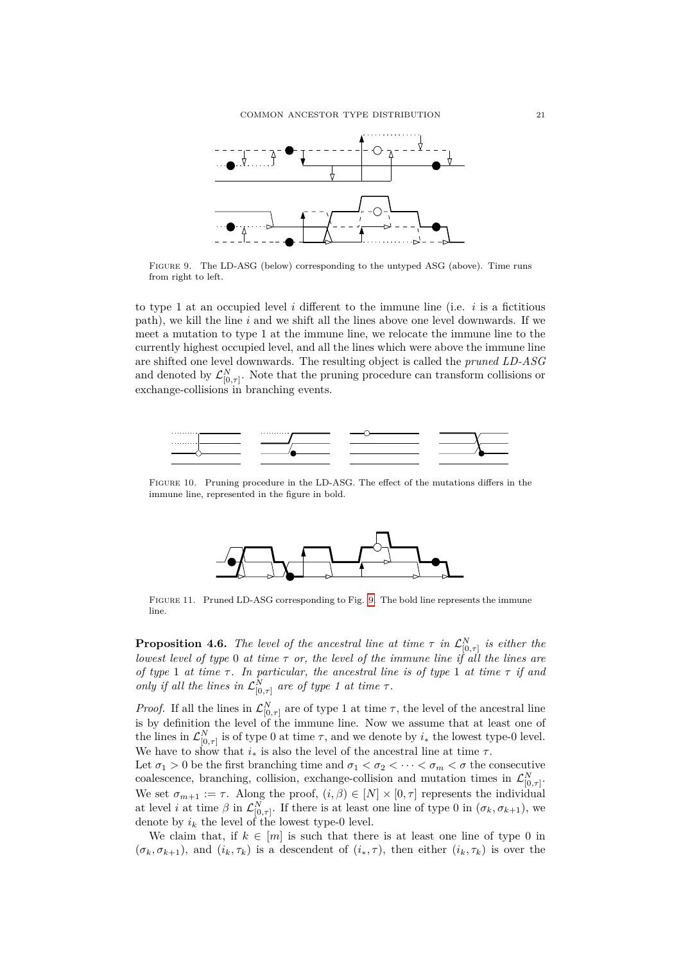<span id="page-20-0"></span>

Figure 9. The LD-ASG (below) corresponding to the untyped ASG (above). Time runs from right to left.

to type 1 at an occupied level  $i$  different to the immune line (i.e.  $i$  is a fictitious path), we kill the line *i* and we shift all the lines above one level downwards. If we meet a mutation to type 1 at the immune line, we relocate the immune line to the currently highest occupied level, and all the lines which were above the immune line are shifted one level downwards. The resulting object is called the *pruned LD-ASG* and denoted by  $\mathcal{L}_{[0,\tau]}^N$ . Note that the pruning procedure can transform collisions or exchange-collisions in branching events.

<span id="page-20-1"></span>

Figure 10. Pruning procedure in the LD-ASG. The effect of the mutations differs in the immune line, represented in the figure in bold.



Figure 11. Pruned LD-ASG corresponding to Fig. [9.](#page-20-0) The bold line represents the immune line.

<span id="page-20-2"></span>**Proposition 4.6.** *The level of the ancestral line at time*  $\tau$  *in*  $\mathcal{L}_{[0,\tau]}^N$  *is either the lowest level of type* 0 *at time*  $\tau$  *or, the level of the immune line if all the lines are of type* 1 *at time τ . In particular, the ancestral line is of type* 1 *at time τ if and only if all the lines in*  $\mathcal{L}_{[0,\tau]}^N$  *are of type 1 at time*  $\tau$ *.* 

*Proof.* If all the lines in  $\mathcal{L}_{[0,\tau]}^N$  are of type 1 at time  $\tau$ , the level of the ancestral line is by definition the level of the immune line. Now we assume that at least one of the lines in  $\mathcal{L}_{[0,\tau]}^N$  is of type 0 at time  $\tau$ , and we denote by  $i_*$  the lowest type-0 level. We have to show that  $i_*$  is also the level of the ancestral line at time  $\tau$ .

Let  $\sigma_1 > 0$  be the first branching time and  $\sigma_1 < \sigma_2 < \cdots < \sigma_m < \sigma$  the consecutive coalescence, branching, collision, exchange-collision and mutation times in  $\mathcal{L}_{[0,\tau]}^N$ . We set  $\sigma_{m+1} := \tau$ . Along the proof,  $(i, \beta) \in [N] \times [0, \tau]$  represents the individual at level *i* at time  $\beta$  in  $\mathcal{L}_{[0,\tau]}^N$ . If there is at least one line of type 0 in  $(\sigma_k, \sigma_{k+1})$ , we denote by  $i_k$  the level of the lowest type-0 level.

We claim that, if  $k \in [m]$  is such that there is at least one line of type 0 in  $(\sigma_k, \sigma_{k+1})$ , and  $(i_k, \tau_k)$  is a descendent of  $(i_*, \tau)$ , then either  $(i_k, \tau_k)$  is over the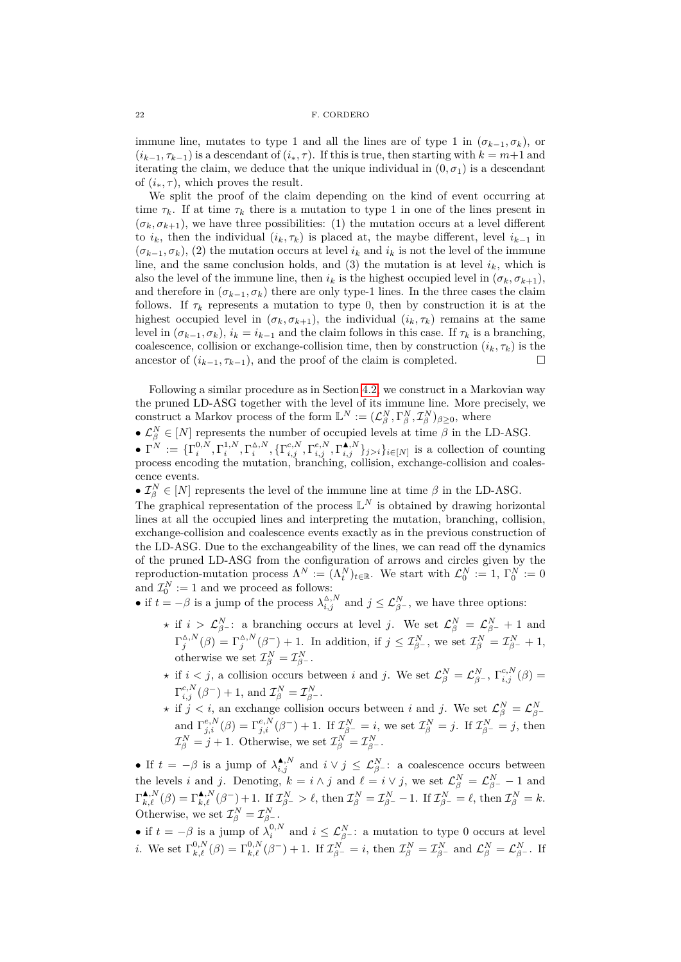immune line, mutates to type 1 and all the lines are of type 1 in  $(\sigma_{k-1}, \sigma_k)$ , or  $(i_{k-1}, \tau_{k-1})$  is a descendant of  $(i_*, \tau)$ . If this is true, then starting with  $k = m+1$  and iterating the claim, we deduce that the unique individual in  $(0, \sigma_1)$  is a descendant of  $(i_*, \tau)$ , which proves the result.

We split the proof of the claim depending on the kind of event occurring at time  $\tau_k$ . If at time  $\tau_k$  there is a mutation to type 1 in one of the lines present in  $(\sigma_k, \sigma_{k+1})$ , we have three possibilities: (1) the mutation occurs at a level different to  $i_k$ , then the individual  $(i_k, \tau_k)$  is placed at, the maybe different, level  $i_{k-1}$  in  $(\sigma_{k-1}, \sigma_k)$ , (2) the mutation occurs at level  $i_k$  and  $i_k$  is not the level of the immune line, and the same conclusion holds, and  $(3)$  the mutation is at level  $i_k$ , which is also the level of the immune line, then  $i_k$  is the highest occupied level in  $(\sigma_k, \sigma_{k+1})$ , and therefore in  $(\sigma_{k-1}, \sigma_k)$  there are only type-1 lines. In the three cases the claim follows. If  $\tau_k$  represents a mutation to type 0, then by construction it is at the highest occupied level in  $(\sigma_k, \sigma_{k+1})$ , the individual  $(i_k, \tau_k)$  remains at the same level in  $(\sigma_{k-1}, \sigma_k)$ ,  $i_k = i_{k-1}$  and the claim follows in this case. If  $\tau_k$  is a branching, coalescence, collision or exchange-collision time, then by construction  $(i_k, \tau_k)$  is the ancestor of  $(i_{k-1}, \tau_{k-1})$ , and the proof of the claim is completed.  $\Box$ 

Following a similar procedure as in Section [4.2,](#page-14-0) we construct in a Markovian way the pruned LD-ASG together with the level of its immune line. More precisely, we construct a Markov process of the form  $\mathbb{L}^N := (\mathcal{L}_{\beta}^N, \Gamma_{\beta}^N, \mathcal{I}_{\beta}^N)_{\beta \geq 0}$ , where

•  $\mathcal{L}_{\beta}^{N} \in [N]$  represents the number of occupied levels at time  $\beta$  in the LD-ASG.

 $\bullet \Gamma^N := \{\Gamma_i^{0,N}, \Gamma_i^{1,N}, \Gamma_i^{\Delta,N}, \{\Gamma_{i,j}^{c,N}, \Gamma_{i,j}^{e,N}, \Gamma_{i,j}^{\blacktriangle,N} \}_{j>i} \}_{i \in [N]}$  is a collection of counting process encoding the mutation, branching, collision, exchange-collision and coalescence events.

•  $\mathcal{I}_{\beta}^{N} \in [N]$  represents the level of the immune line at time  $\beta$  in the LD-ASG.

The graphical representation of the process  $\mathbb{L}^N$  is obtained by drawing horizontal lines at all the occupied lines and interpreting the mutation, branching, collision, exchange-collision and coalescence events exactly as in the previous construction of the LD-ASG. Due to the exchangeability of the lines, we can read off the dynamics of the pruned LD-ASG from the configuration of arrows and circles given by the reproduction-mutation process  $\Lambda^N := (\Lambda^N_t)_{t \in \mathbb{R}}$ . We start with  $\mathcal{L}_0^N := 1$ ,  $\Gamma_0^N := 0$ and  $\mathcal{I}_0^N := 1$  and we proceed as follows:

- if  $t = -\beta$  is a jump of the process  $\lambda_{i,j}^{\Delta,N}$  and  $j \leq \mathcal{L}_{\beta}^N$ , we have three options:
	- $\star$  if  $i > L_{\beta}^N$  : a branching occurs at level *j*. We set  $\mathcal{L}_{\beta}^N = \mathcal{L}_{\beta}^N + 1$  and  $\Gamma_j^{\Delta,N}(\beta) = \Gamma_j^{\Delta,N}(\beta^-) + 1$ . In addition, if  $j \leq \mathcal{I}_{\beta^-}^N$ , we set  $\mathcal{I}_{\beta}^N = \mathcal{I}_{\beta^-}^N + 1$ , otherwise we set  $\mathcal{I}_{\beta}^{N} = \mathcal{I}_{\beta^{-}}^{N}$ .
	- $\star$  if  $i < j$ , a collision occurs between *i* and *j*. We set  $\mathcal{L}_{\beta}^{N} = \mathcal{L}_{\beta}^{N}$ ,  $\Gamma_{i,j}^{c,N}(\beta) =$  $\Gamma_{i,j}^{c,N}(\beta^-) + 1$ , and  $\mathcal{I}_{\beta}^N = \mathcal{I}_{\beta^-}^N$ .
	- *\** if  $j < i$ , an exchange collision occurs between *i* and *j*. We set  $\mathcal{L}_{\beta}^{N} = \mathcal{L}_{\beta}^{N}$ and  $\Gamma_{j,i}^{e,N}(\beta) = \Gamma_{j,i}^{e,N}(\beta^-) + 1$ . If  $\mathcal{I}_{\beta^-}^N = i$ , we set  $\mathcal{I}_{\beta}^N = j$ . If  $\mathcal{I}_{\beta^-}^N = j$ , then  $\mathcal{I}_{\beta}^{N} = j + 1$ . Otherwise, we set  $\mathcal{I}_{\beta}^{N} = \mathcal{I}_{\beta^{-}}^{N}$ .

• If  $t = -\beta$  is a jump of  $\lambda_{i,j}^{A,N}$  and  $i \vee j \leq \mathcal{L}_{\beta}^{N}$  : a coalescence occurs between the levels *i* and *j*. Denoting,  $k = i \wedge j$  and  $\ell = i \vee j$ , we set  $\mathcal{L}_{\beta}^{N} = \mathcal{L}_{\beta^{-}}^{N} - 1$  and  $\Gamma_{k,\ell}^{\blacktriangle,N}(\beta) = \Gamma_{k,\ell}^{\blacktriangle,N}(\beta^-) + 1$ . If  $\mathcal{I}_{\beta^-}^N > \ell$ , then  $\mathcal{I}_{\beta}^N = \mathcal{I}_{\beta^-}^N - 1$ . If  $\mathcal{I}_{\beta^-}^N = \ell$ , then  $\mathcal{I}_{\beta}^N = k$ . Otherwise, we set  $\mathcal{I}_{\beta}^{N} = \mathcal{I}_{\beta^{-}}^{N}$ .

• if  $t = -\beta$  is a jump of  $\lambda_i^{0,N}$  and  $i \leq \mathcal{L}_{\beta^{-}}^N$ : a mutation to type 0 occurs at level *i*. We set  $\Gamma_{k,\ell}^{0,N}(\beta) = \Gamma_{k,\ell}^{0,N}(\beta^-) + 1$ . If  $\mathcal{I}_{\beta^-}^N = i$ , then  $\mathcal{I}_{\beta}^N = \mathcal{I}_{\beta^-}^N$  and  $\mathcal{L}_{\beta}^N = \mathcal{L}_{\beta^-}^N$ . If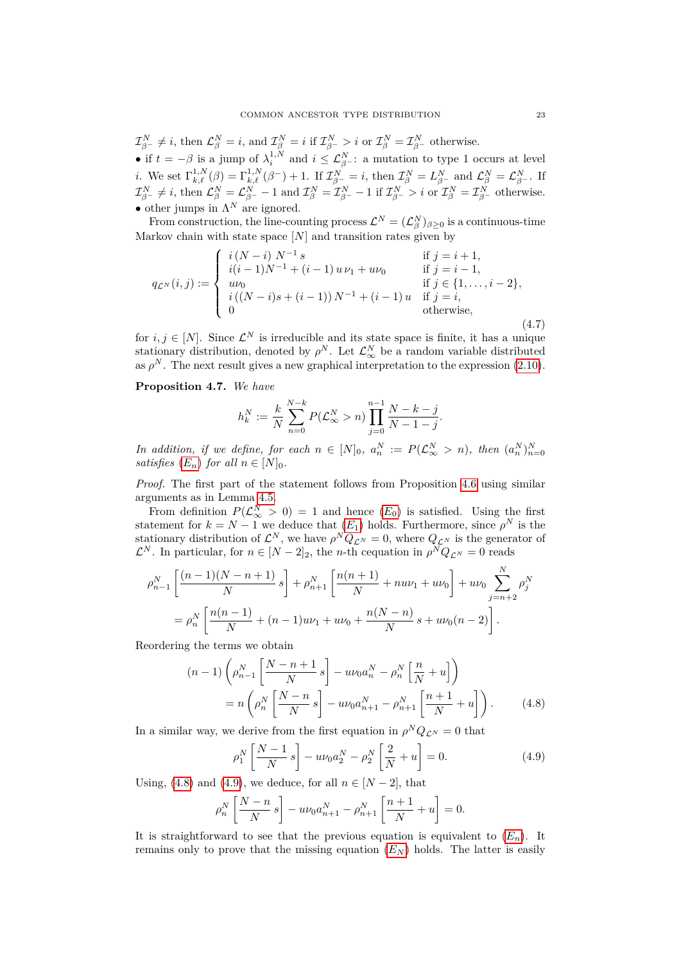$\mathcal{I}_{\beta^-}^N \neq i$ , then  $\mathcal{L}_{\beta}^N = i$ , and  $\mathcal{I}_{\beta}^N = i$  if  $\mathcal{I}_{\beta^-}^N > i$  or  $\mathcal{I}_{\beta}^N = \mathcal{I}_{\beta^-}^N$  otherwise. • if  $t = -\beta$  is a jump of  $\lambda_i^{1,N}$  and  $i \leq \mathcal{L}_{\beta}^N$ : a mutation to type 1 occurs at level *i*. We set  $\Gamma_{k,\ell}^{1,N}(\beta) = \Gamma_{k,\ell}^{1,N}(\beta^-) + 1$ . If  $\mathcal{I}_{\beta^-}^N = i$ , then  $\mathcal{I}_{\beta}^N = L_{\beta^-}^N$  and  $\mathcal{L}_{\beta}^N = \mathcal{L}_{\beta^-}^N$ . If  $\mathcal{I}^N_{\beta^-}\neq i, \text{ then } \mathcal{L}^N_\beta=\mathcal{L}^N_{\beta^-}-1 \text{ and } \mathcal{I}^N_\beta=\mathcal{I}^N_{\beta^-}-1 \text{ if } \mathcal{I}^N_{\beta^-}>i \text{ or } \mathcal{I}^N_\beta=\mathcal{I}^N_{\beta^-} \text{ otherwise.}$ • other jumps in  $\Lambda^N$  are ignored.

From construction, the line-counting process  $\mathcal{L}^N = (\mathcal{L}^N_\beta)_{\beta \geq 0}$  is a continuous-time Markov chain with state space [*N*] and transition rates given by

$$
q_{\mathcal{L}^{N}}(i,j) := \begin{cases} i(N-i) N^{-1} s & \text{if } j = i+1, \\ i(i-1)N^{-1} + (i-1) u \nu_{1} + u \nu_{0} & \text{if } j = i-1, \\ u \nu_{0} & \text{if } j \in \{1, ..., i-2\}, \\ i((N-i)s + (i-1)) N^{-1} + (i-1) u & \text{if } j = i, \\ 0 & \text{otherwise,} \end{cases}
$$
(4.7)

for  $i, j \in [N]$ . Since  $\mathcal{L}^N$  is irreducible and its state space is finite, it has a unique stationary distribution, denoted by  $\rho^N$ . Let  $\mathcal{L}_{\infty}^N$  be a random variable distributed as  $\rho^N$ . The next result gives a new graphical interpretation to the expression  $(2.10)$ .

### <span id="page-22-2"></span>**Proposition 4.7.** *We have*

$$
h_k^N := \frac{k}{N} \sum_{n=0}^{N-k} P(\mathcal{L}_{\infty}^N > n) \prod_{j=0}^{n-1} \frac{N-k-j}{N-1-j}.
$$

*In addition, if we define, for each*  $n \in [N]_0$ ,  $a_n^N := P(\mathcal{L}_{\infty}^N > n)$ , then  $(a_n^N)_{n=0}^N$ *satisfies*  $(E_n)$  $(E_n)$  $(E_n)$  *for all*  $n \in [N]_0$ *.* 

*Proof.* The first part of the statement follows from Proposition [4.6](#page-20-2) using similar arguments as in Lemma [4.5.](#page-18-2)

From definition  $P(\mathcal{L}_{\infty}^N > 0) = 1$  and hence  $(E_0)$  $(E_0)$  $(E_0)$  is satisfied. Using the first statement for  $k = N - 1$  we deduce that  $(E_1)$  $(E_1)$  $(E_1)$  holds. Furthermore, since  $\rho^N$  is the stationary distribution of  $\mathcal{L}^N$ , we have  $\rho^N Q_{\mathcal{L}^N} = 0$ , where  $Q_{\mathcal{L}^N}$  is the generator of  $\mathcal{L}^N$ . In particular, for  $n \in [N-2]_2$ , the *n*-th cequation in  $\rho^N Q_{\mathcal{L}^N} = 0$  reads

$$
\rho_{n-1}^N \left[ \frac{(n-1)(N-n+1)}{N} s \right] + \rho_{n+1}^N \left[ \frac{n(n+1)}{N} + nu\nu_1 + u\nu_0 \right] + u\nu_0 \sum_{j=n+2}^N \rho_j^N
$$
  
= 
$$
\rho_n^N \left[ \frac{n(n-1)}{N} + (n-1)u\nu_1 + u\nu_0 + \frac{n(N-n)}{N} s + u\nu_0(n-2) \right].
$$

Reordering the terms we obtain

$$
(n-1)\left(\rho_{n-1}^N\left[\frac{N-n+1}{N}s\right]-u\nu_0 a_n^N-\rho_n^N\left[\frac{n}{N}+u\right]\right)
$$

$$
=n\left(\rho_n^N\left[\frac{N-n}{N}s\right]-u\nu_0 a_{n+1}^N-\rho_{n+1}^N\left[\frac{n+1}{N}+u\right]\right).
$$
 (4.8)

In a similar way, we derive from the first equation in  $\rho^N Q_{\mathcal{L}^N} = 0$  that

<span id="page-22-1"></span><span id="page-22-0"></span>
$$
\rho_1^N \left[ \frac{N-1}{N} s \right] - u \nu_0 a_2^N - \rho_2^N \left[ \frac{2}{N} + u \right] = 0.
$$
 (4.9)

Using, [\(4.8\)](#page-22-0) and [\(4.9\)](#page-22-1), we deduce, for all  $n \in [N-2]$ , that

$$
\rho_n^N \left[ \frac{N-n}{N} s \right] - u \nu_0 a_{n+1}^N - \rho_{n+1}^N \left[ \frac{n+1}{N} + u \right] = 0.
$$

It is straightforward to see that the previous equation is equivalent to  $(E_n)$  $(E_n)$  $(E_n)$ . It remains only to prove that the missing equation  $(E_N)$  $(E_N)$  $(E_N)$  holds. The latter is easily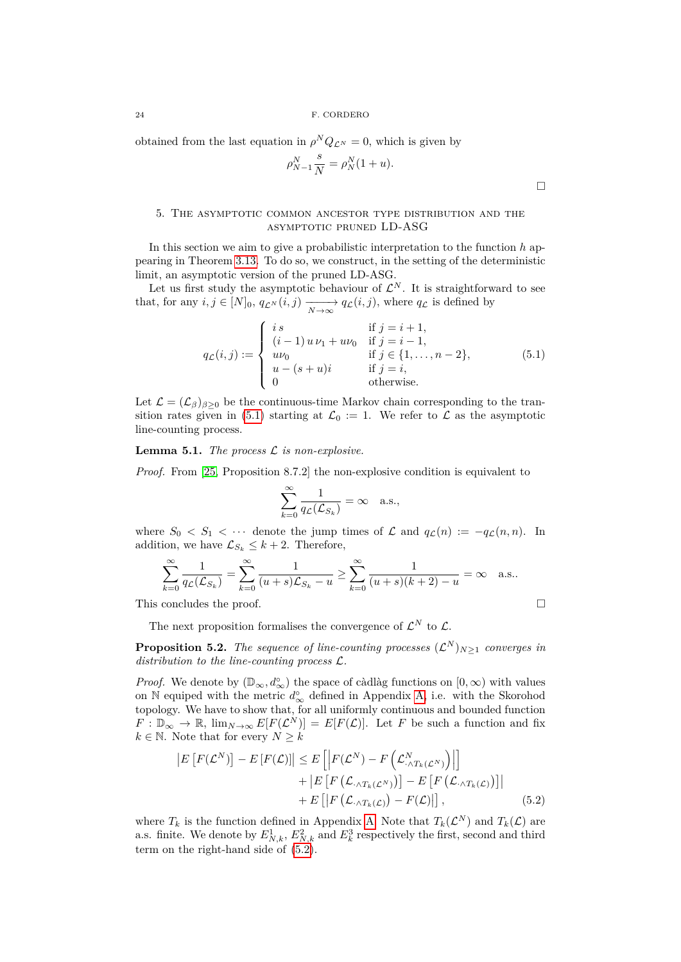obtained from the last equation in  $\rho^{N} Q_{\mathcal{L}^{N}} = 0$ , which is given by

$$
\rho_{N-1}^N \frac{s}{N} = \rho_N^N (1+u).
$$

 $\Box$ 

### <span id="page-23-0"></span>5. The asymptotic common ancestor type distribution and the asymptotic pruned LD-ASG

In this section we aim to give a probabilistic interpretation to the function *h* appearing in Theorem [3.13.](#page-11-0) To do so, we construct, in the setting of the deterministic limit, an asymptotic version of the pruned LD-ASG.

Let us first study the asymptotic behaviour of  $\mathcal{L}^N$ . It is straightforward to see that, for any  $i, j \in [N]_0$ ,  $q_{\mathcal{L}^N}(i, j) \xrightarrow[N \to \infty]{} q_{\mathcal{L}}(i, j)$ , where  $q_{\mathcal{L}}$  is defined by

<span id="page-23-1"></span>
$$
q_{\mathcal{L}}(i,j) := \begin{cases} i s & \text{if } j = i + 1, \\ (i-1) u \nu_1 + u \nu_0 & \text{if } j = i - 1, \\ u \nu_0 & \text{if } j \in \{1, ..., n - 2\}, \\ u - (s + u)i & \text{if } j = i, \\ 0 & \text{otherwise.} \end{cases}
$$
(5.1)

Let  $\mathcal{L} = (\mathcal{L}_{\beta})_{\beta \geq 0}$  be the continuous-time Markov chain corresponding to the tran-sition rates given in [\(5.1\)](#page-23-1) starting at  $\mathcal{L}_0 := 1$ . We refer to  $\mathcal L$  as the asymptotic line-counting process.

<span id="page-23-3"></span>**Lemma 5.1.** *The process* L *is non-explosive.*

*Proof.* From [\[25,](#page-29-17) Proposition 8.7.2] the non-explosive condition is equivalent to

$$
\sum_{k=0}^{\infty} \frac{1}{q_{\mathcal{L}}(\mathcal{L}_{S_k})} = \infty \quad \text{a.s.},
$$

where  $S_0 < S_1 < \cdots$  denote the jump times of  $\mathcal L$  and  $q_{\mathcal L}(n) := -q_{\mathcal L}(n,n)$ . In addition, we have  $\mathcal{L}_{S_k} \leq k+2$ . Therefore,

$$
\sum_{k=0}^{\infty} \frac{1}{q_{\mathcal{L}}(\mathcal{L}_{S_k})} = \sum_{k=0}^{\infty} \frac{1}{(u+s)\mathcal{L}_{S_k} - u} \ge \sum_{k=0}^{\infty} \frac{1}{(u+s)(k+2) - u} = \infty \quad \text{a.s..}
$$

This concludes the proof.  $\Box$ 

The next proposition formalises the convergence of  $\mathcal{L}^N$  to  $\mathcal{L}$ .

**Proposition 5.2.** *The sequence of line-counting processes*  $(\mathcal{L}^N)_{N\geq 1}$  *converges in distribution to the line-counting process* L*.*

*Proof.* We denote by  $(\mathbb{D}_{\infty}, d^{\circ}_{\infty})$  the space of càdlàg functions on  $[0, \infty)$  with values on N equiped with the metric  $d_{\infty}^{\circ}$  defined in Appendix [A,](#page-26-0) i.e. with the Skorohod topology. We have to show that, for all uniformly continuous and bounded function  $F: \mathbb{D}_{\infty} \to \mathbb{R}$ ,  $\lim_{N \to \infty} E[F(\mathcal{L}^N)] = E[F(\mathcal{L})]$ . Let *F* be such a function and fix  $k \in \mathbb{N}$ . Note that for every  $N \geq k$ 

<span id="page-23-2"></span>
$$
\begin{aligned} \left| E\left[ F(\mathcal{L}^N) \right] - E\left[ F(\mathcal{L}) \right] \right| &\leq E\left[ \left| F(\mathcal{L}^N) - F\left( \mathcal{L}^N_{\cdot \wedge T_k(\mathcal{L}^N)} \right) \right| \right] \\ &+ \left| E\left[ F\left( \mathcal{L}_{\cdot \wedge T_k(\mathcal{L}^N)} \right) \right] - E\left[ F\left( \mathcal{L}_{\cdot \wedge T_k(\mathcal{L})} \right) \right] \right| \\ &+ E\left[ \left| F\left( \mathcal{L}_{\cdot \wedge T_k(\mathcal{L})} \right) - F(\mathcal{L}) \right| \right], \end{aligned} \tag{5.2}
$$

where  $T_k$  is the function defined in Appendix [A.](#page-26-0) Note that  $T_k(\mathcal{L}^N)$  and  $T_k(\mathcal{L})$  are a.s. finite. We denote by  $E_{N,k}^1$ ,  $E_{N,k}^2$  and  $E_k^3$  respectively the first, second and third term on the right-hand side of [\(5.2\)](#page-23-2).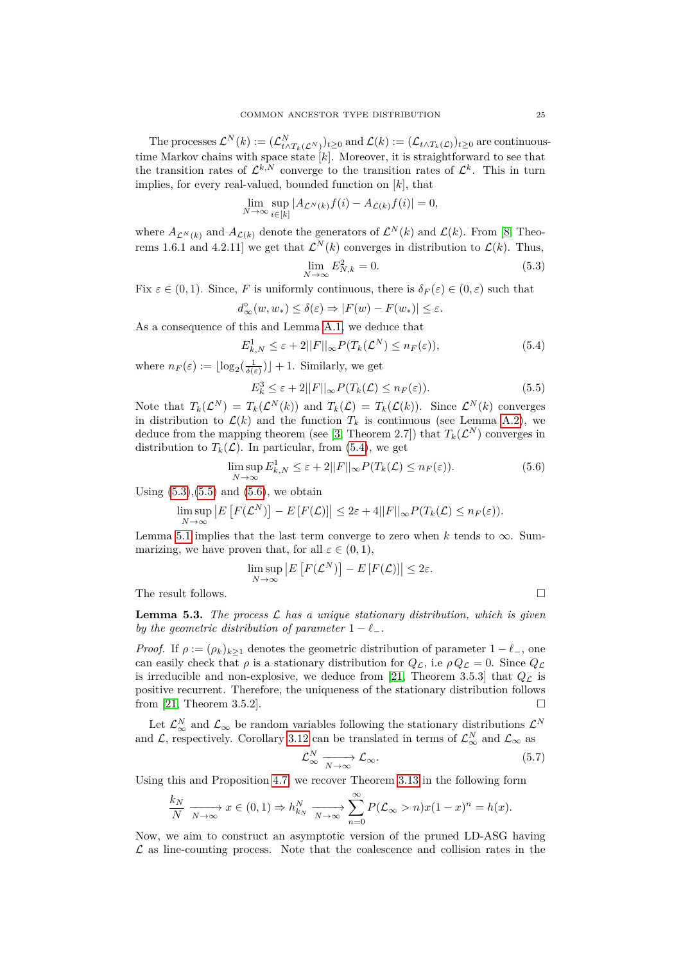The processes  $\mathcal{L}^N(k) := (\mathcal{L}^N_{t \wedge T_k(\mathcal{L}^N)})_{t \geq 0}$  and  $\mathcal{L}(k) := (\mathcal{L}_{t \wedge T_k(\mathcal{L})})_{t \geq 0}$  are continuoustime Markov chains with space state [*k*]. Moreover, it is straightforward to see that the transition rates of  $\mathcal{L}^{k,N}$  converge to the transition rates of  $\mathcal{L}^k$ . This in turn implies, for every real-valued, bounded function on [*k*], that

$$
\lim_{N \to \infty} \sup_{i \in [k]} |A_{\mathcal{L}^N(k)} f(i) - A_{\mathcal{L}(k)} f(i)| = 0,
$$

where  $A_{\mathcal{L}^N(k)}$  and  $A_{\mathcal{L}(k)}$  denote the generators of  $\mathcal{L}^N(k)$  and  $\mathcal{L}(k)$ . From [\[8,](#page-29-10) Theorems 1.6.1 and 4.2.11 we get that  $\mathcal{L}^{N}(k)$  converges in distribution to  $\mathcal{L}(k)$ . Thus,

<span id="page-24-1"></span>
$$
\lim_{N \to \infty} E_{N,k}^2 = 0. \tag{5.3}
$$

Fix  $\varepsilon \in (0,1)$ . Since, *F* is uniformly continuous, there is  $\delta_F(\varepsilon) \in (0,\varepsilon)$  such that

$$
d_{\infty}^{\circ}(w, w_*) \le \delta(\varepsilon) \Rightarrow |F(w) - F(w_*)| \le \varepsilon.
$$

As a consequence of this and Lemma [A.1,](#page-26-1) we deduce that

<span id="page-24-0"></span>
$$
E_{k,N}^1 \le \varepsilon + 2||F||_{\infty} P(T_k(\mathcal{L}^N) \le n_F(\varepsilon)),
$$
\n(5.4)

where  $n_F(\varepsilon) := \lfloor \log_2(\frac{1}{\delta(\varepsilon)}) \rfloor + 1$ . Similarly, we get

<span id="page-24-2"></span>
$$
E_k^3 \le \varepsilon + 2||F||_{\infty} P(T_k(\mathcal{L}) \le n_F(\varepsilon)).\tag{5.5}
$$

Note that  $T_k(\mathcal{L}^N) = T_k(\mathcal{L}^N(k))$  and  $T_k(\mathcal{L}) = T_k(\mathcal{L}(k))$ . Since  $\mathcal{L}^N(k)$  converges in distribution to  $\mathcal{L}(k)$  and the function  $T_k$  is continuous (see Lemma [A.2\)](#page-26-2), we deduce from the mapping theorem (see [\[3,](#page-28-3) Theorem 2.7]) that  $T_k(\mathcal{L}^N)$  converges in distribution to  $T_k(\mathcal{L})$ . In particular, from [\(5.4\)](#page-24-0), we get

<span id="page-24-3"></span>
$$
\limsup_{N \to \infty} E_{k,N}^1 \le \varepsilon + 2||F||_{\infty} P(T_k(\mathcal{L}) \le n_F(\varepsilon)).
$$
\n(5.6)

Using  $(5.3)$ , $(5.5)$  and  $(5.6)$ , we obtain

$$
\limsup_{N\to\infty}\left|E\left[F(\mathcal{L}^N)\right]-E\left[F(\mathcal{L})\right]\right|\leq 2\varepsilon+4||F||_{\infty}P(T_k(\mathcal{L})\leq n_F(\varepsilon)).
$$

Lemma [5.1](#page-23-3) implies that the last term converge to zero when  $k$  tends to  $\infty$ . Summarizing, we have proven that, for all  $\varepsilon \in (0,1)$ ,

$$
\limsup_{N \to \infty} |E[F(\mathcal{L}^N)] - E[F(\mathcal{L})]| \leq 2\varepsilon.
$$

The result follows.

<span id="page-24-5"></span>**Lemma 5.3.** *The process* L *has a unique stationary distribution, which is given by the geometric distribution of parameter*  $1 - \ell_-$ .

*Proof.* If  $\rho := (\rho_k)_{k>1}$  denotes the geometric distribution of parameter  $1 - \ell_-,$  one can easily check that  $\rho$  is a stationary distribution for  $Q_{\mathcal{L}}$ , i.e  $\rho Q_{\mathcal{L}} = 0$ . Since  $Q_{\mathcal{L}}$ is irreducible and non-explosive, we deduce from [\[21,](#page-29-18) Theorem 3.5.3] that  $Q<sub>L</sub>$  is positive recurrent. Therefore, the uniqueness of the stationary distribution follows from [\[21,](#page-29-18) Theorem 3.5.2].

Let  $\mathcal{L}_{\infty}^N$  and  $\mathcal{L}_{\infty}$  be random variables following the stationary distributions  $\mathcal{L}^N$ and  $\mathcal{L}$ , respectively. Corollary [3.12](#page-11-1) can be translated in terms of  $\mathcal{L}_{\infty}^{N}$  and  $\mathcal{L}_{\infty}$  as

<span id="page-24-4"></span>
$$
\mathcal{L}_{\infty}^{N} \xrightarrow[N \to \infty]{} \mathcal{L}_{\infty}.
$$
\n(5.7)

Using this and Proposition [4.7,](#page-22-2) we recover Theorem [3.13](#page-11-0) in the following form

$$
\frac{k_N}{N} \xrightarrow[N \to \infty]{} x \in (0,1) \Rightarrow h_{k_N}^N \xrightarrow[N \to \infty]{} \sum_{n=0}^{\infty} P(\mathcal{L}_{\infty} > n) x (1-x)^n = h(x).
$$

Now, we aim to construct an asymptotic version of the pruned LD-ASG having  $\mathcal L$  as line-counting process. Note that the coalescence and collision rates in the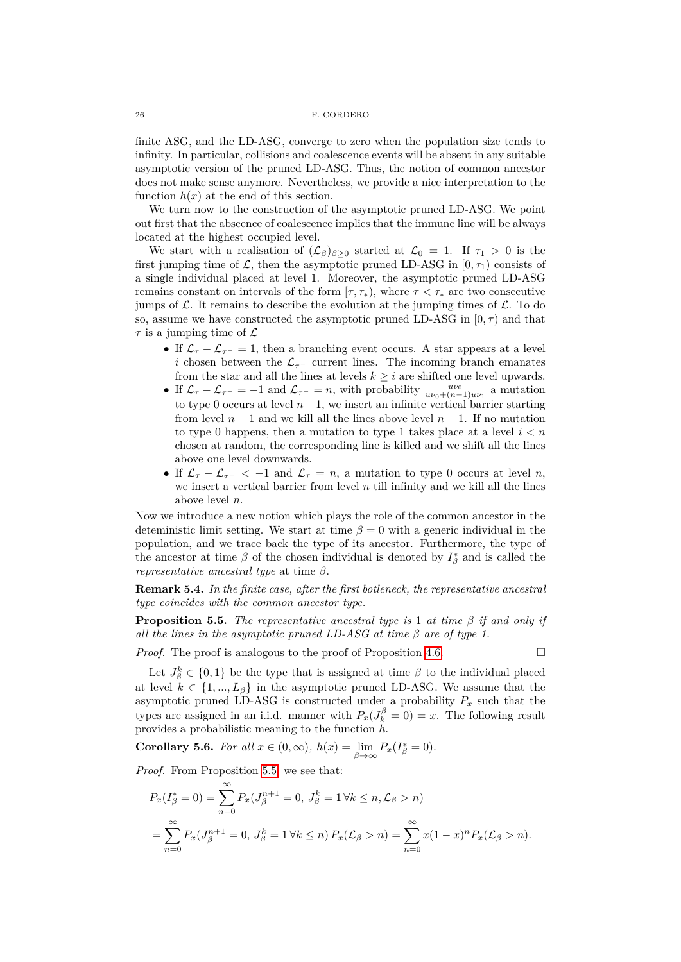finite ASG, and the LD-ASG, converge to zero when the population size tends to infinity. In particular, collisions and coalescence events will be absent in any suitable asymptotic version of the pruned LD-ASG. Thus, the notion of common ancestor does not make sense anymore. Nevertheless, we provide a nice interpretation to the function  $h(x)$  at the end of this section.

We turn now to the construction of the asymptotic pruned LD-ASG. We point out first that the abscence of coalescence implies that the immune line will be always located at the highest occupied level.

We start with a realisation of  $(\mathcal{L}_{\beta})_{\beta\geq 0}$  started at  $\mathcal{L}_{0} = 1$ . If  $\tau_{1} > 0$  is the first jumping time of  $\mathcal{L}$ , then the asymptotic pruned LD-ASG in  $[0, \tau_1)$  consists of a single individual placed at level 1. Moreover, the asymptotic pruned LD-ASG remains constant on intervals of the form  $[\tau, \tau_*)$ , where  $\tau < \tau_*$  are two consecutive jumps of  $\mathcal L$ . It remains to describe the evolution at the jumping times of  $\mathcal L$ . To do so, assume we have constructed the asymptotic pruned LD-ASG in  $[0, \tau)$  and that  $\tau$  is a jumping time of  $\mathcal{L}$ 

- If  $\mathcal{L}_{\tau} \mathcal{L}_{\tau-} = 1$ , then a branching event occurs. A star appears at a level *i* chosen between the  $\mathcal{L}_{\tau-}$  current lines. The incoming branch emanates from the star and all the lines at levels  $k \geq i$  are shifted one level upwards.
- If  $\mathcal{L}_{\tau} \mathcal{L}_{\tau^-} = -1$  and  $\mathcal{L}_{\tau^-} = n$ , with probability  $\frac{uv_0}{uv_0 + (n-1)uv_1}$  a mutation to type 0 occurs at level  $n-1$ , we insert an infinite vertical barrier starting from level  $n-1$  and we kill all the lines above level  $n-1$ . If no mutation to type 0 happens, then a mutation to type 1 takes place at a level *i < n* chosen at random, the corresponding line is killed and we shift all the lines above one level downwards.
- If  $\mathcal{L}_{\tau} \mathcal{L}_{\tau^-} < -1$  and  $\mathcal{L}_{\tau} = n$ , a mutation to type 0 occurs at level *n*, we insert a vertical barrier from level *n* till infinity and we kill all the lines above level *n*.

Now we introduce a new notion which plays the role of the common ancestor in the deteministic limit setting. We start at time  $\beta = 0$  with a generic individual in the population, and we trace back the type of its ancestor. Furthermore, the type of the ancestor at time  $\beta$  of the chosen individual is denoted by  $I^*_{\beta}$  and is called the *representative ancestral type* at time *β*.

**Remark 5.4.** *In the finite case, after the first botleneck, the representative ancestral type coincides with the common ancestor type.*

<span id="page-25-0"></span>**Proposition 5.5.** *The representative ancestral type is* 1 *at time β if and only if all the lines in the asymptotic pruned LD-ASG at time β are of type 1.*

*Proof.* The proof is analogous to the proof of Proposition [4.6.](#page-20-2)

Let  $J_{\beta}^k \in \{0,1\}$  be the type that is assigned at time  $\beta$  to the individual placed at level  $k \in \{1, ..., L_\beta\}$  in the asymptotic pruned LD-ASG. We assume that the asymptotic pruned LD-ASG is constructed under a probability  $P_x$  such that the types are assigned in an i.i.d. manner with  $P_x(J_k^{\beta} = 0) = x$ . The following result provides a probabilistic meaning to the function *h*.

**Corollary 5.6.** *For all*  $x \in (0, \infty)$ *,*  $h(x) = \lim_{\beta \to \infty} P_x(I^*_{\beta} = 0)$ *.* 

*Proof.* From Proposition [5.5,](#page-25-0) we see that:

$$
P_x(I_{\beta}^* = 0) = \sum_{n=0}^{\infty} P_x(J_{\beta}^{n+1} = 0, J_{\beta}^k = 1 \,\forall k \le n, \mathcal{L}_{\beta} > n)
$$
  
= 
$$
\sum_{n=0}^{\infty} P_x(J_{\beta}^{n+1} = 0, J_{\beta}^k = 1 \,\forall k \le n) P_x(\mathcal{L}_{\beta} > n) = \sum_{n=0}^{\infty} x(1-x)^n P_x(\mathcal{L}_{\beta} > n).
$$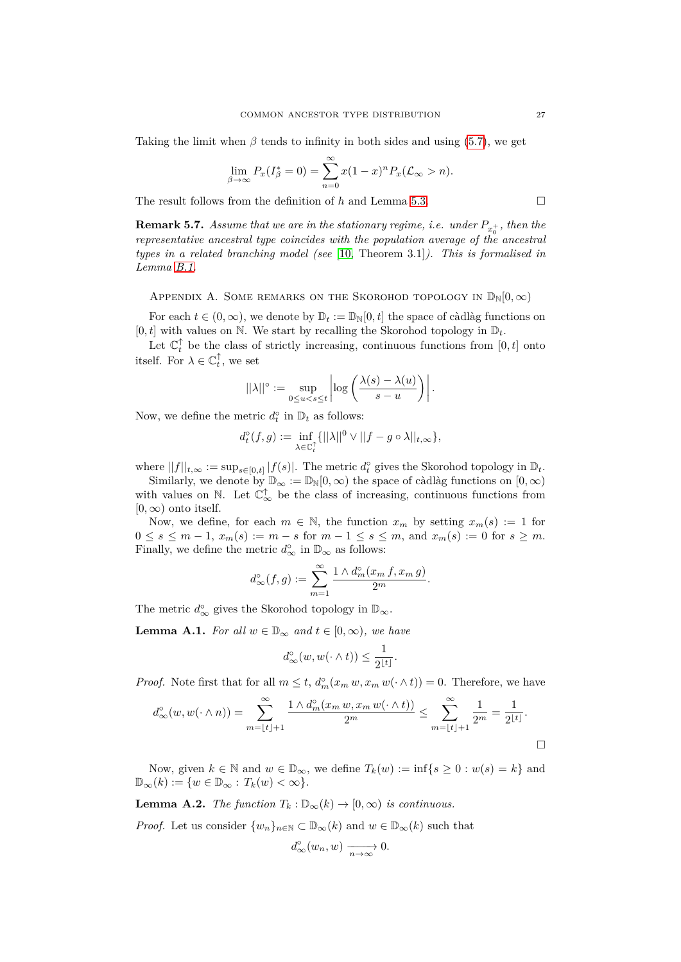Taking the limit when  $\beta$  tends to infinity in both sides and using [\(5.7\)](#page-24-4), we get

$$
\lim_{\beta \to \infty} P_x(I_{\beta}^* = 0) = \sum_{n=0}^{\infty} x(1-x)^n P_x(\mathcal{L}_{\infty} > n).
$$

The result follows from the definition of *h* and Lemma [5.3.](#page-24-5)

**Remark 5.7.** *Assume that we are in the stationary regime, i.e. under*  $P_{x_0^+}$ *, then the representative ancestral type coincides with the population average of the ancestral types in a related branching model (see* [\[10,](#page-29-19) Theorem 3.1]*). This is formalised in Lemma [B.1.](#page-28-4)*

<span id="page-26-0"></span>APPENDIX A. SOME REMARKS ON THE SKOROHOD TOPOLOGY IN  $\mathbb{D}_{\mathbb{N}}[0,\infty)$ 

For each  $t \in (0, \infty)$ , we denote by  $\mathbb{D}_t := \mathbb{D}_{\mathbb{N}}[0, t]$  the space of càdlàg functions on  $[0, t]$  with values on N. We start by recalling the Skorohod topology in  $\mathbb{D}_t$ .

Let  $\mathbb{C}_t^{\uparrow}$  be the class of strictly increasing, continuous functions from  $[0, t]$  onto itself. For  $\lambda \in \mathbb{C}_t^{\uparrow}$ , we set

$$
||\lambda||^{\circ} := \sup_{0 \le u < s \le t} \left| \log \left( \frac{\lambda(s) - \lambda(u)}{s - u} \right) \right|.
$$

Now, we define the metric  $d_t^{\circ}$  in  $\mathbb{D}_t$  as follows:

$$
d_t^{\circ}(f,g) := \inf_{\lambda \in \mathbb{C}_t^{\uparrow}} \{ ||\lambda||^0 \vee ||f - g \circ \lambda||_{t,\infty} \},
$$

where  $||f||_{t,\infty} := \sup_{s \in [0,t]} |f(s)|$ . The metric  $d_t^{\circ}$  gives the Skorohod topology in  $\mathbb{D}_t$ .

Similarly, we denote by  $\mathbb{D}_{\infty} := \mathbb{D}_{\mathbb{N}}[0,\infty)$  the space of càdlàg functions on  $[0,\infty)$ with values on  $\mathbb N$ . Let  $\mathbb{C}^\uparrow_\infty$  be the class of increasing, continuous functions from  $[0, \infty)$  onto itself.

Now, we define, for each  $m \in \mathbb{N}$ , the function  $x_m$  by setting  $x_m(s) := 1$  for 0 ≤ *s* ≤ *m* − 1,  $x_m(s) := m - s$  for  $m - 1 \le s \le m$ , and  $x_m(s) := 0$  for  $s \ge m$ . Finally, we define the metric  $d_{\infty}^{\circ}$  in  $\mathbb{D}_{\infty}$  as follows:

$$
d_{\infty}^{\circ}(f,g) := \sum_{m=1}^{\infty} \frac{1 \wedge d_m^{\circ}(x_m \, f, x_m \, g)}{2^m}.
$$

The metric  $d_{\infty}^{\circ}$  gives the Skorohod topology in  $\mathbb{D}_{\infty}$ .

<span id="page-26-1"></span>**Lemma A.1.** *For all*  $w \in \mathbb{D}_{\infty}$  *and*  $t \in [0, \infty)$ *, we have* 

$$
d_{\infty}^{\circ}(w, w(\cdot \wedge t)) \leq \frac{1}{2^{\lfloor t \rfloor}}.
$$

*Proof.* Note first that for all  $m \leq t$ ,  $d_m^{\circ}(x_m w, x_m w(\cdot \wedge t)) = 0$ . Therefore, we have

$$
d_{\infty}^{o}(w, w(\cdot \wedge n)) = \sum_{m=\lfloor t \rfloor + 1}^{\infty} \frac{1 \wedge d_{m}^{o}(x_{m} w, x_{m} w(\cdot \wedge t))}{2^{m}} \leq \sum_{m=\lfloor t \rfloor + 1}^{\infty} \frac{1}{2^{m}} = \frac{1}{2^{\lfloor t \rfloor}}.
$$

Now, given  $k \in \mathbb{N}$  and  $w \in \mathbb{D}_{\infty}$ , we define  $T_k(w) := \inf\{s \geq 0 : w(s) = k\}$  and  $\mathbb{D}_{\infty}(k) := \{w \in \mathbb{D}_{\infty} : T_k(w) < \infty\}.$ 

<span id="page-26-2"></span>**Lemma A.2.** *The function*  $T_k : \mathbb{D}_{\infty}(k) \to [0, \infty)$  *is continuous.* 

*Proof.* Let us consider  $\{w_n\}_{n\in\mathbb{N}}\subset\mathbb{D}_{\infty}(k)$  and  $w\in\mathbb{D}_{\infty}(k)$  such that

$$
d_{\infty}^{\circ}(w_n, w) \xrightarrow[n \to \infty]{} 0.
$$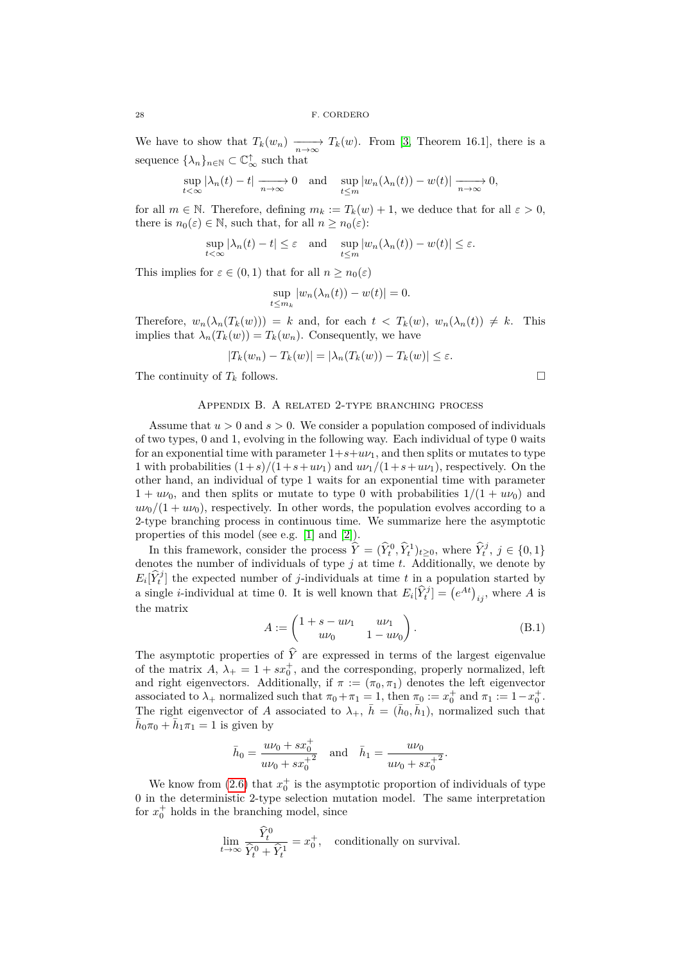We have to show that  $T_k(w_n) \longrightarrow T_k(w)$ . From [\[3,](#page-28-3) Theorem 16.1], there is a sequence  $\{\lambda_n\}_{n\in\mathbb{N}}\subset\mathbb{C}_{\infty}^{\uparrow}$  such that

$$
\sup_{t<\infty} |\lambda_n(t)-t| \xrightarrow[n\to\infty]{} 0 \text{ and } \sup_{t\leq m} |w_n(\lambda_n(t))-w(t)| \xrightarrow[n\to\infty]{} 0,
$$

for all  $m \in \mathbb{N}$ . Therefore, defining  $m_k := T_k(w) + 1$ , we deduce that for all  $\varepsilon > 0$ , there is  $n_0(\varepsilon) \in \mathbb{N}$ , such that, for all  $n \geq n_0(\varepsilon)$ :

$$
\sup_{t<\infty} |\lambda_n(t) - t| \leq \varepsilon \quad \text{and} \quad \sup_{t\leq m} |w_n(\lambda_n(t)) - w(t)| \leq \varepsilon.
$$

This implies for  $\varepsilon \in (0,1)$  that for all  $n \geq n_0(\varepsilon)$ 

$$
\sup_{t \le m_k} |w_n(\lambda_n(t)) - w(t)| = 0.
$$

Therefore,  $w_n(\lambda_n(T_k(w))) = k$  and, for each  $t < T_k(w)$ ,  $w_n(\lambda_n(t)) \neq k$ . This implies that  $\lambda_n(T_k(w)) = T_k(w_n)$ . Consequently, we have

$$
|T_k(w_n) - T_k(w)| = |\lambda_n(T_k(w)) - T_k(w)| \le \varepsilon.
$$

The continuity of  $T_k$  follows.

## Appendix B. A related 2-type branching process

<span id="page-27-0"></span>Assume that *u >* 0 and *s >* 0. We consider a population composed of individuals of two types, 0 and 1, evolving in the following way. Each individual of type 0 waits for an exponential time with parameter  $1+s+u\upsilon_1$ , and then splits or mutates to type 1 with probabilities  $(1+s)/(1+s+u\nu_1)$  and  $u\nu_1/(1+s+u\nu_1)$ , respectively. On the other hand, an individual of type 1 waits for an exponential time with parameter  $1 + u\nu_0$ , and then splits or mutate to type 0 with probabilities  $1/(1 + u\nu_0)$  and  $u\nu_0/(1+u\nu_0)$ , respectively. In other words, the population evolves according to a 2-type branching process in continuous time. We summarize here the asymptotic properties of this model (see e.g. [\[1\]](#page-28-5) and [\[2\]](#page-28-6)).

In this framework, consider the process  $\hat{Y} = (\hat{Y}_t^0, \hat{Y}_t^1)_{t \geq 0}$ , where  $\hat{Y}_t^j$ ,  $j \in \{0, 1\}$ denotes the number of individuals of type *j* at time *t*. Additionally, we denote by  $E_i[\hat{Y}_t^j]$  the expected number of *j*-individuals at time *t* in a population started by a single *i*-individual at time 0. It is well known that  $E_i[\hat{Y}_t^j] = (e^{At})_{ij}$ , where *A* is the matrix

$$
A := \begin{pmatrix} 1 + s - u\nu_1 & u\nu_1 \\ u\nu_0 & 1 - u\nu_0 \end{pmatrix} .
$$
 (B.1)

The asymptotic properties of  $\hat{Y}$  are expressed in terms of the largest eigenvalue of the matrix  $A, \lambda_+ = 1 + sx_0^+$ , and the corresponding, properly normalized, left and right eigenvectors. Additionally, if  $\pi := (\pi_0, \pi_1)$  denotes the left eigenvector associated to  $\lambda_+$  normalized such that  $\pi_0 + \pi_1 = 1$ , then  $\pi_0 := x_0^+$  and  $\pi_1 := 1 - x_0^+$ . The right eigenvector of *A* associated to  $\lambda_+$ ,  $\bar{h} = (\bar{h}_0, \bar{h}_1)$ , normalized such that  $\bar{h}_0 \pi_0 + \bar{h}_1 \pi_1 = 1$  is given by

$$
\bar{h}_0 = \frac{uv_0 + sx_0^+}{uv_0 + sx_0^+} \text{ and } \bar{h}_1 = \frac{uv_0}{uv_0 + sx_0^+}.
$$

We know from  $(2.6)$  that  $x_0^+$  is the asymptotic proportion of individuals of type 0 in the deterministic 2-type selection mutation model. The same interpretation for  $x_0^+$  holds in the branching model, since

$$
\lim_{t \to \infty} \frac{\widehat{Y}_t^0}{\widehat{Y}_t^0 + \widehat{Y}_t^1} = x_0^+, \quad \text{conditionally on survival.}
$$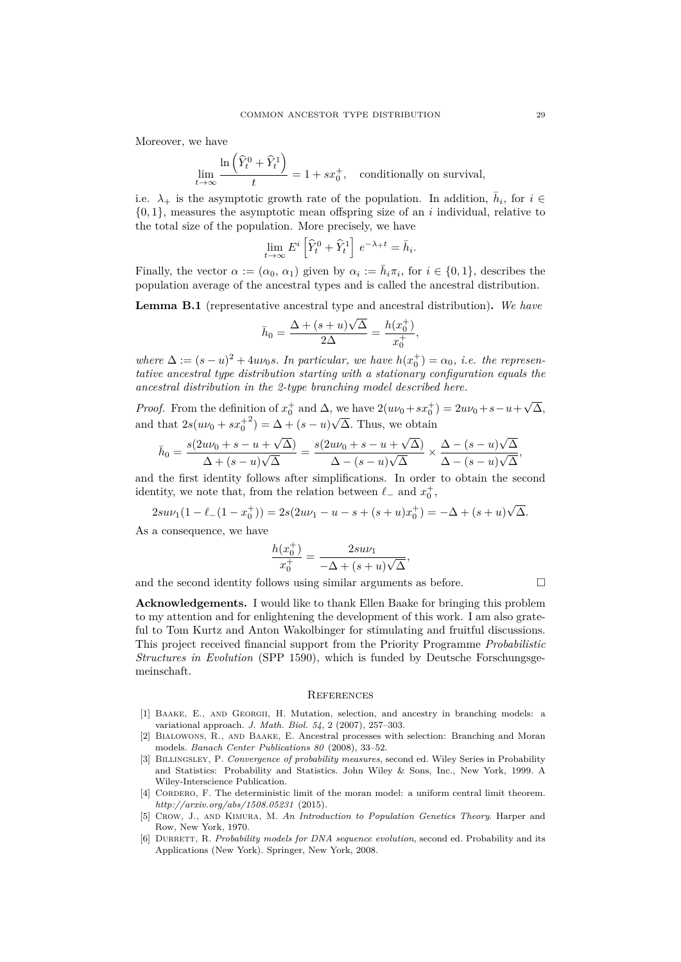Moreover, we have

$$
\lim_{t \to \infty} \frac{\ln\left(\widehat{Y}_t^0 + \widehat{Y}_t^1\right)}{t} = 1 + sx_0^+, \text{ conditionally on survival,}
$$

i.e.  $\lambda_+$  is the asymptotic growth rate of the population. In addition,  $\bar{h}_i$ , for  $i \in$ {0*,* 1}, measures the asymptotic mean offspring size of an *i* individual, relative to the total size of the population. More precisely, we have

$$
\lim_{t \to \infty} E^i \left[ \widehat{Y}_t^0 + \widehat{Y}_t^1 \right] e^{-\lambda_+ t} = \bar{h}_i.
$$

Finally, the vector  $\alpha := (\alpha_0, \alpha_1)$  given by  $\alpha_i := \overline{h}_i \pi_i$ , for  $i \in \{0, 1\}$ , describes the population average of the ancestral types and is called the ancestral distribution.

<span id="page-28-4"></span>**Lemma B.1** (representative ancestral type and ancestral distribution)**.** *We have*

$$
\bar{h}_0 = \frac{\Delta + (s+u)\sqrt{\Delta}}{2\Delta} = \frac{h(x_0^+)}{x_0^+},
$$

*where*  $\Delta := (s - u)^2 + 4uv_0s$ . In particular, we have  $h(x_0^+) = \alpha_0$ , i.e. the represen*tative ancestral type distribution starting with a stationary configuration equals the ancestral distribution in the 2-type branching model described here.*

*Proof.* From the definition of  $x_0^+$  and  $\Delta$ , we have  $2(u\nu_0 + sx_0^+) = 2u\nu_0 + s - u +$ √ ∆*,* and that  $2s(u\nu_0 + sx_0^+)$  $2^{2}) = \Delta + (s - u)$ √ ∆*.* Thus, we obtain √ √ √

$$
\bar{h}_0 = \frac{s(2u\nu_0 + s - u + \sqrt{\Delta})}{\Delta + (s - u)\sqrt{\Delta}} = \frac{s(2u\nu_0 + s - u + \sqrt{\Delta})}{\Delta - (s - u)\sqrt{\Delta}} \times \frac{\Delta - (s - u)\sqrt{\Delta}}{\Delta - (s - u)\sqrt{\Delta}},
$$

and the first identity follows after simplifications. In order to obtain the second identity, we note that, from the relation between  $\ell_-$  and  $x_0^+$ ,

$$
2su\nu_1(1-\ell_-(1-x_0^+))=2s(2u\nu_1-u-s+(s+u)x_0^+)=-\Delta+(s+u)\sqrt{\Delta}.
$$

As a consequence, we have

$$
\frac{h(x_0^+)}{x_0^+} = \frac{2su\nu_1}{-\Delta + (s+u)\sqrt{\Delta}},
$$

and the second identity follows using similar arguments as before.  $\Box$ 

**Acknowledgements.** I would like to thank Ellen Baake for bringing this problem to my attention and for enlightening the development of this work. I am also grateful to Tom Kurtz and Anton Wakolbinger for stimulating and fruitful discussions. This project received financial support from the Priority Programme *Probabilistic Structures in Evolution* (SPP 1590), which is funded by Deutsche Forschungsgemeinschaft.

#### **REFERENCES**

- <span id="page-28-5"></span>[1] Baake, E., and Georgii, H. Mutation, selection, and ancestry in branching models: a variational approach. *J. Math. Biol. 54*, 2 (2007), 257–303.
- <span id="page-28-6"></span>[2] Bialowons, R., and Baake, E. Ancestral processes with selection: Branching and Moran models. *Banach Center Publications 80* (2008), 33–52.
- <span id="page-28-3"></span>[3] Billingsley, P. *Convergence of probability measures*, second ed. Wiley Series in Probability and Statistics: Probability and Statistics. John Wiley & Sons, Inc., New York, 1999. A Wiley-Interscience Publication.
- <span id="page-28-1"></span>[4] CORDERO, F. The deterministic limit of the moran model: a uniform central limit theorem. *http://arxiv.org/abs/1508.05231* (2015).
- <span id="page-28-2"></span>[5] Crow, J., and Kimura, M. *An Introduction to Population Genetics Theory*. Harper and Row, New York, 1970.
- <span id="page-28-0"></span>[6] Durrett, R. *Probability models for DNA sequence evolution*, second ed. Probability and its Applications (New York). Springer, New York, 2008.